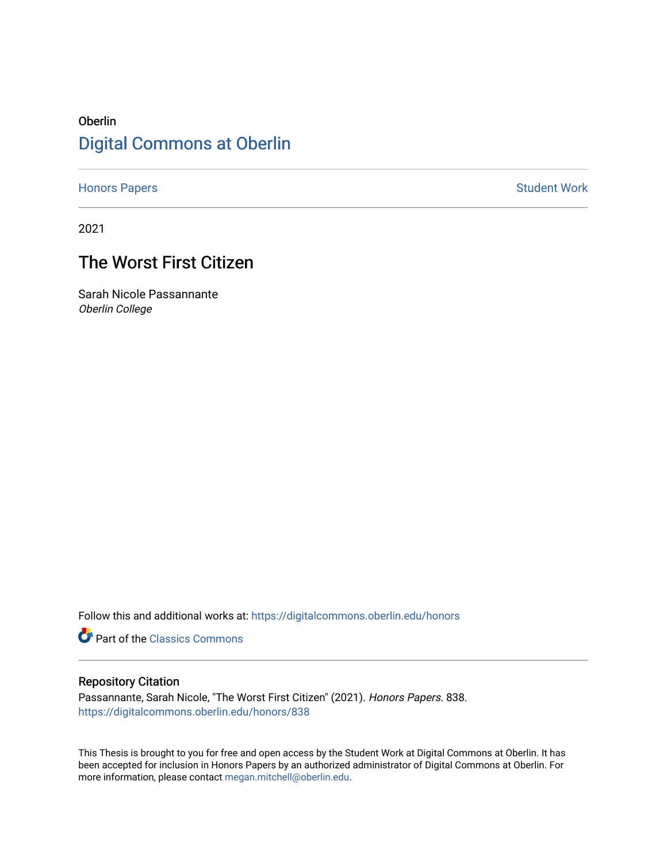# Oberlin [Digital Commons at Oberlin](https://digitalcommons.oberlin.edu/)

[Honors Papers](https://digitalcommons.oberlin.edu/honors) **Student Work** 

2021

# The Worst First Citizen

Sarah Nicole Passannante Oberlin College

Follow this and additional works at: [https://digitalcommons.oberlin.edu/honors](https://digitalcommons.oberlin.edu/honors?utm_source=digitalcommons.oberlin.edu%2Fhonors%2F838&utm_medium=PDF&utm_campaign=PDFCoverPages) 

**Part of the [Classics Commons](http://network.bepress.com/hgg/discipline/446?utm_source=digitalcommons.oberlin.edu%2Fhonors%2F838&utm_medium=PDF&utm_campaign=PDFCoverPages)** 

# Repository Citation

Passannante, Sarah Nicole, "The Worst First Citizen" (2021). Honors Papers. 838. [https://digitalcommons.oberlin.edu/honors/838](https://digitalcommons.oberlin.edu/honors/838?utm_source=digitalcommons.oberlin.edu%2Fhonors%2F838&utm_medium=PDF&utm_campaign=PDFCoverPages) 

This Thesis is brought to you for free and open access by the Student Work at Digital Commons at Oberlin. It has been accepted for inclusion in Honors Papers by an authorized administrator of Digital Commons at Oberlin. For more information, please contact [megan.mitchell@oberlin.edu.](mailto:megan.mitchell@oberlin.edu)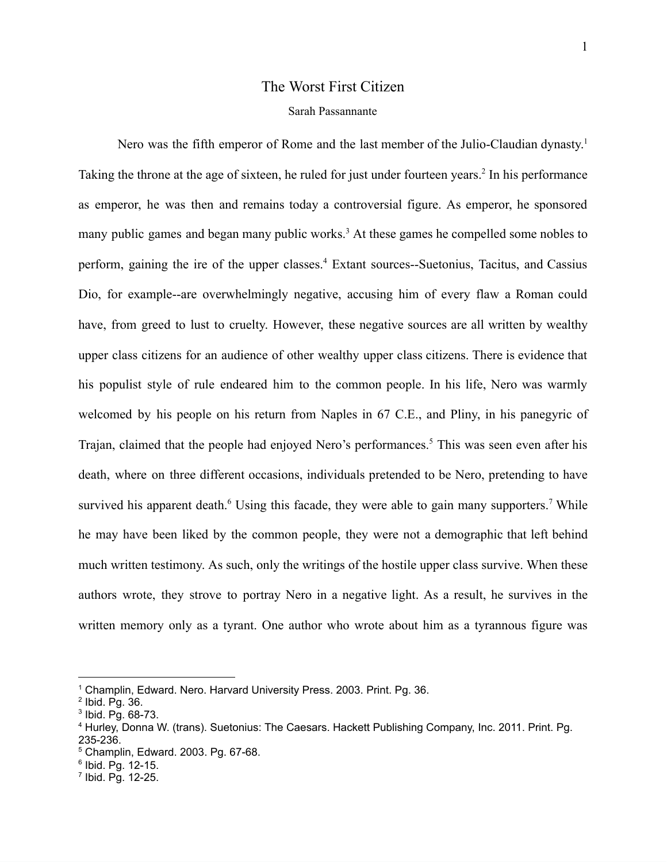# The Worst First Citizen

# Sarah Passannante

Nero was the fifth emperor of Rome and the last member of the Julio-Claudian dynasty.<sup>1</sup> Taking the throne at the age of sixteen, he ruled for just under fourteen years.<sup>2</sup> In his performance as emperor, he was then and remains today a controversial figure. As emperor, he sponsored many public games and began many public works.<sup>3</sup> At these games he compelled some nobles to perform, gaining the ire of the upper classes.<sup>4</sup> Extant sources--Suetonius, Tacitus, and Cassius Dio, for example--are overwhelmingly negative, accusing him of every flaw a Roman could have, from greed to lust to cruelty. However, these negative sources are all written by wealthy upper class citizens for an audience of other wealthy upper class citizens. There is evidence that his populist style of rule endeared him to the common people. In his life, Nero was warmly welcomed by his people on his return from Naples in 67 C.E., and Pliny, in his panegyric of Trajan, claimed that the people had enjoyed Nero's performances.<sup>5</sup> This was seen even after his death, where on three different occasions, individuals pretended to be Nero, pretending to have survived his apparent death.<sup>6</sup> Using this facade, they were able to gain many supporters.<sup>7</sup> While he may have been liked by the common people, they were not a demographic that left behind much written testimony. As such, only the writings of the hostile upper class survive. When these authors wrote, they strove to portray Nero in a negative light. As a result, he survives in the written memory only as a tyrant. One author who wrote about him as a tyrannous figure was

<sup>&</sup>lt;sup>1</sup> Champlin, Edward. Nero. Harvard University Press. 2003. Print. Pg. 36.

<sup>2</sup> Ibid. Pg. 36.

<sup>3</sup> Ibid. Pg. 68-73.

<sup>4</sup> Hurley, Donna W. (trans). Suetonius: The Caesars. Hackett Publishing Company, Inc. 2011. Print. Pg. 235-236.

<sup>5</sup> Champlin, Edward. 2003. Pg. 67-68.

<sup>6</sup> Ibid. Pg. 12-15.

<sup>7</sup> Ibid. Pg. 12-25.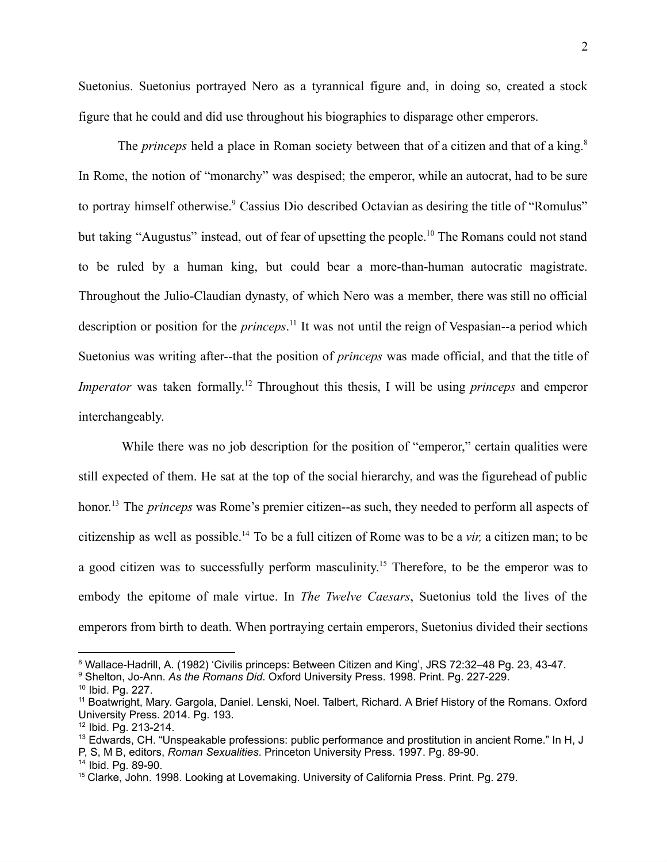Suetonius. Suetonius portrayed Nero as a tyrannical figure and, in doing so, created a stock figure that he could and did use throughout his biographies to disparage other emperors.

The *princeps* held a place in Roman society between that of a citizen and that of a king.<sup>8</sup> In Rome, the notion of "monarchy" was despised; the emperor, while an autocrat, had to be sure to portray himself otherwise.<sup>9</sup> Cassius Dio described Octavian as desiring the title of "Romulus" but taking "Augustus" instead, out of fear of upsetting the people.<sup>10</sup> The Romans could not stand to be ruled by a human king, but could bear a more-than-human autocratic magistrate. Throughout the Julio-Claudian dynasty, of which Nero was a member, there was still no official description or position for the *princeps*. <sup>11</sup> It was not until the reign of Vespasian--a period which Suetonius was writing after--that the position of *princeps* was made official, and that the title of *Imperator* was taken formally.<sup>12</sup> Throughout this thesis, I will be using *princeps* and emperor interchangeably.

While there was no job description for the position of "emperor," certain qualities were still expected of them. He sat at the top of the social hierarchy, and was the figurehead of public honor.<sup>13</sup> The *princeps* was Rome's premier citizen--as such, they needed to perform all aspects of citizenship as well as possible.<sup>14</sup> To be a full citizen of Rome was to be a *vir,* a citizen man; to be a good citizen was to successfully perform masculinity.<sup>15</sup> Therefore, to be the emperor was to embody the epitome of male virtue. In *The Twelve Caesars*, Suetonius told the lives of the emperors from birth to death. When portraying certain emperors, Suetonius divided their sections

<sup>14</sup> Ibid. Pg. 89-90.

<sup>8</sup> Wallace-Hadrill, A. (1982) 'Civilis princeps: Between Citizen and King', JRS 72:32–48 Pg. 23, 43-47.

<sup>9</sup> Shelton, Jo-Ann. *As the Romans Did*. Oxford University Press. 1998. Print. Pg. 227-229.

<sup>10</sup> Ibid. Pg. 227.

<sup>&</sup>lt;sup>11</sup> Boatwright, Mary. Gargola, Daniel. Lenski, Noel. Talbert, Richard. A Brief History of the Romans. Oxford University Press. 2014. Pg. 193.

<sup>12</sup> Ibid. Pg. 213-214.

<sup>&</sup>lt;sup>13</sup> Edwards, CH. "Unspeakable professions: public performance and prostitution in ancient Rome." In H, J P, S, M B, editors, *Roman Sexualities*. Princeton University Press. 1997. Pg. 89-90.

<sup>&</sup>lt;sup>15</sup> Clarke, John. 1998. Looking at Lovemaking. University of California Press. Print. Pg. 279.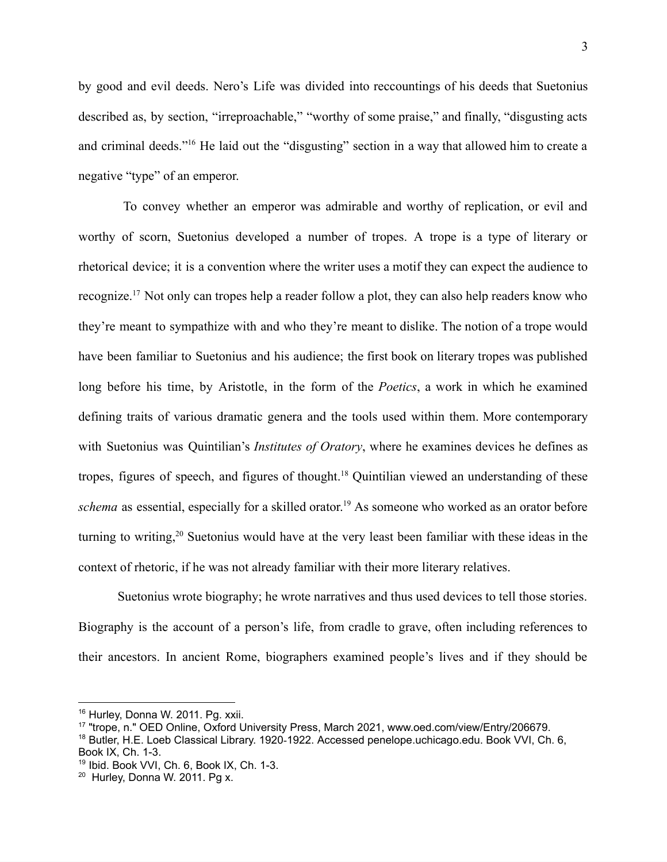by good and evil deeds. Nero's Life was divided into reccountings of his deeds that Suetonius described as, by section, "irreproachable," "worthy of some praise," and finally, "disgusting acts and criminal deeds."<sup>16</sup> He laid out the "disgusting" section in a way that allowed him to create a negative "type" of an emperor.

To convey whether an emperor was admirable and worthy of replication, or evil and worthy of scorn, Suetonius developed a number of tropes. A trope is a type of literary or rhetorical device; it is a convention where the writer uses a motif they can expect the audience to recognize.<sup>17</sup> Not only can tropes help a reader follow a plot, they can also help readers know who they're meant to sympathize with and who they're meant to dislike. The notion of a trope would have been familiar to Suetonius and his audience; the first book on literary tropes was published long before his time, by Aristotle, in the form of the *Poetics*, a work in which he examined defining traits of various dramatic genera and the tools used within them. More contemporary with Suetonius was Quintilian's *Institutes of Oratory*, where he examines devices he defines as tropes, figures of speech, and figures of thought.<sup>18</sup> Quintilian viewed an understanding of these *schema* as essential, especially for a skilled orator.<sup>19</sup> As someone who worked as an orator before turning to writing,<sup>20</sup> Suetonius would have at the very least been familiar with these ideas in the context of rhetoric, if he was not already familiar with their more literary relatives.

Suetonius wrote biography; he wrote narratives and thus used devices to tell those stories. Biography is the account of a person's life, from cradle to grave, often including references to their ancestors. In ancient Rome, biographers examined people's lives and if they should be

<sup>&</sup>lt;sup>16</sup> Hurley, Donna W. 2011. Pg. xxii.

<sup>17</sup> "trope, n." OED Online, Oxford University Press, March 2021, www.oed.com/view/Entry/206679.

<sup>&</sup>lt;sup>18</sup> Butler, H.E. Loeb Classical Library. 1920-1922. Accessed penelope.uchicago.edu. Book VVI, Ch. 6, Book IX, Ch. 1-3.

<sup>19</sup> Ibid. Book VVI, Ch. 6, Book IX, Ch. 1-3.

<sup>&</sup>lt;sup>20</sup> Hurley, Donna W. 2011. Pg x.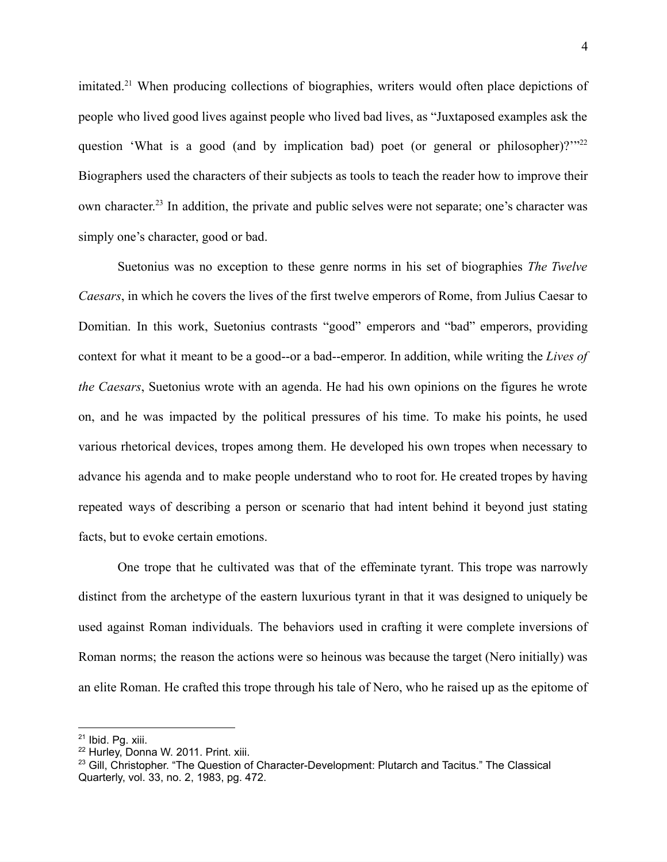imitated.<sup>21</sup> When producing collections of biographies, writers would often place depictions of people who lived good lives against people who lived bad lives, as "Juxtaposed examples ask the question 'What is a good (and by implication bad) poet (or general or philosopher)?'"<sup>22</sup> Biographers used the characters of their subjects as tools to teach the reader how to improve their own character.<sup>23</sup> In addition, the private and public selves were not separate; one's character was simply one's character, good or bad.

Suetonius was no exception to these genre norms in his set of biographies *The Twelve Caesars*, in which he covers the lives of the first twelve emperors of Rome, from Julius Caesar to Domitian. In this work, Suetonius contrasts "good" emperors and "bad" emperors, providing context for what it meant to be a good--or a bad--emperor. In addition, while writing the *Lives of the Caesars*, Suetonius wrote with an agenda. He had his own opinions on the figures he wrote on, and he was impacted by the political pressures of his time. To make his points, he used various rhetorical devices, tropes among them. He developed his own tropes when necessary to advance his agenda and to make people understand who to root for. He created tropes by having repeated ways of describing a person or scenario that had intent behind it beyond just stating facts, but to evoke certain emotions.

One trope that he cultivated was that of the effeminate tyrant. This trope was narrowly distinct from the archetype of the eastern luxurious tyrant in that it was designed to uniquely be used against Roman individuals. The behaviors used in crafting it were complete inversions of Roman norms; the reason the actions were so heinous was because the target (Nero initially) was an elite Roman. He crafted this trope through his tale of Nero, who he raised up as the epitome of

<sup>21</sup> Ibid. Pg. xiii.

<sup>22</sup> Hurley, Donna W. 2011. Print. xiii.

<sup>&</sup>lt;sup>23</sup> Gill, Christopher. "The Question of Character-Development: Plutarch and Tacitus." The Classical Quarterly, vol. 33, no. 2, 1983, pg. 472.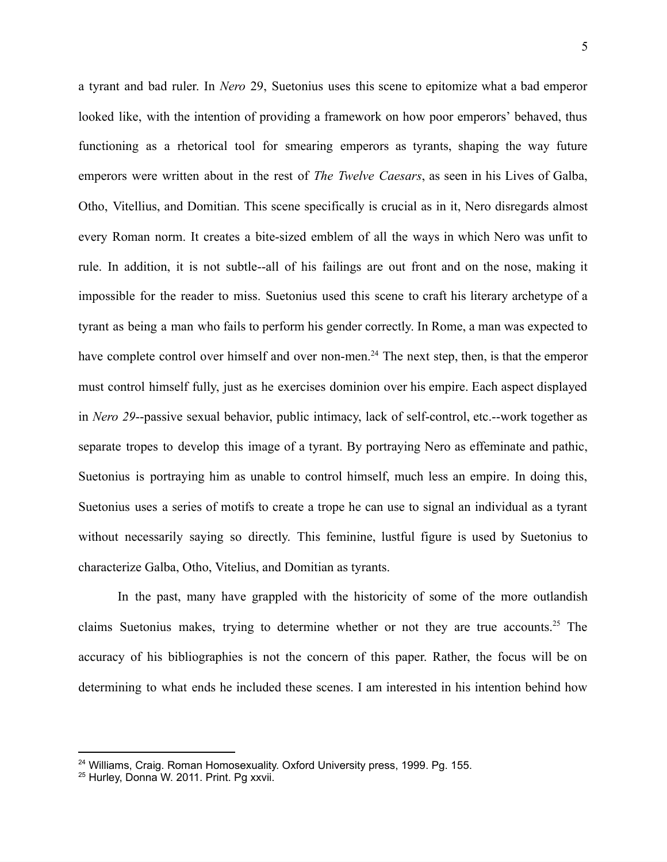a tyrant and bad ruler. In *Nero* 29, Suetonius uses this scene to epitomize what a bad emperor looked like, with the intention of providing a framework on how poor emperors' behaved, thus functioning as a rhetorical tool for smearing emperors as tyrants, shaping the way future emperors were written about in the rest of *The Twelve Caesars*, as seen in his Lives of Galba, Otho, Vitellius, and Domitian. This scene specifically is crucial as in it, Nero disregards almost every Roman norm. It creates a bite-sized emblem of all the ways in which Nero was unfit to rule. In addition, it is not subtle--all of his failings are out front and on the nose, making it impossible for the reader to miss. Suetonius used this scene to craft his literary archetype of a tyrant as being a man who fails to perform his gender correctly. In Rome, a man was expected to have complete control over himself and over non-men.<sup>24</sup> The next step, then, is that the emperor must control himself fully, just as he exercises dominion over his empire. Each aspect displayed in *Nero 29*--passive sexual behavior, public intimacy, lack of self-control, etc.--work together as separate tropes to develop this image of a tyrant. By portraying Nero as effeminate and pathic, Suetonius is portraying him as unable to control himself, much less an empire. In doing this, Suetonius uses a series of motifs to create a trope he can use to signal an individual as a tyrant without necessarily saying so directly. This feminine, lustful figure is used by Suetonius to characterize Galba, Otho, Vitelius, and Domitian as tyrants.

In the past, many have grappled with the historicity of some of the more outlandish claims Suetonius makes, trying to determine whether or not they are true accounts.<sup>25</sup> The accuracy of his bibliographies is not the concern of this paper. Rather, the focus will be on determining to what ends he included these scenes. I am interested in his intention behind how

<sup>&</sup>lt;sup>24</sup> Williams, Craig. Roman Homosexuality. Oxford University press, 1999. Pg. 155.

<sup>25</sup> Hurley, Donna W. 2011. Print. Pg xxvii.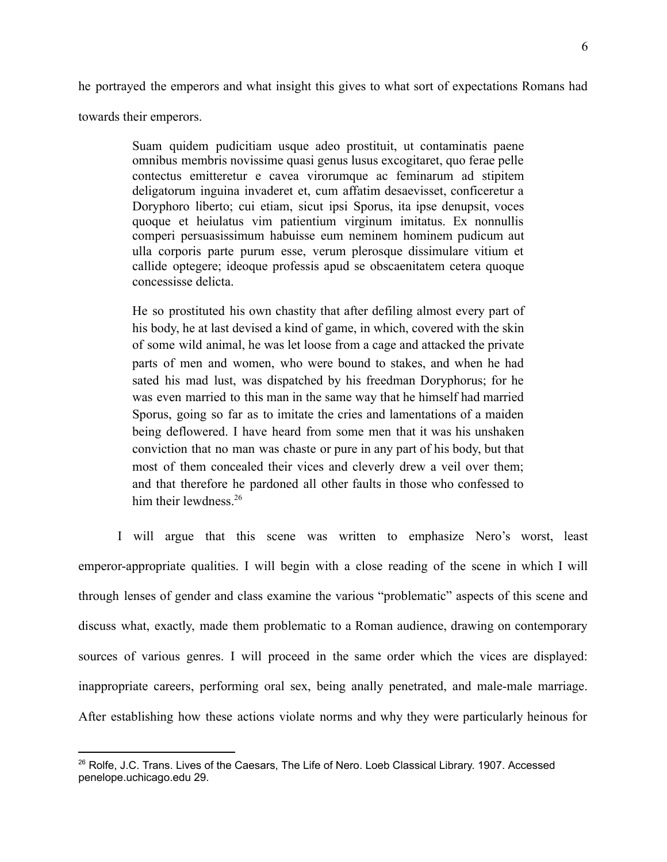he portrayed the emperors and what insight this gives to what sort of expectations Romans had

towards their emperors.

Suam quidem pudicitiam usque adeo prostituit, ut contaminatis paene omnibus membris novissime quasi genus lusus excogitaret, quo ferae pelle contectus emitteretur e cavea virorumque ac feminarum ad stipitem deligatorum inguina invaderet et, cum affatim desaevisset, conficeretur a Doryphoro liberto; cui etiam, sicut ipsi Sporus, ita ipse denupsit, voces quoque et heiulatus vim patientium virginum imitatus. Ex nonnullis comperi persuasissimum habuisse eum neminem hominem pudicum aut ulla corporis parte purum esse, verum plerosque dissimulare vitium et callide optegere; ideoque professis apud se obscaenitatem cetera quoque concessisse delicta.

He so prostituted his own chastity that after defiling almost every part of his body, he at last devised a kind of game, in which, covered with the skin of some wild animal, he was let loose from a cage and attacked the private parts of men and women, who were bound to stakes, and when he had sated his mad lust, was dispatched by his freedman Doryphorus; for he was even married to this man in the same way that he himself had married Sporus, going so far as to imitate the cries and lamentations of a maiden being deflowered. I have heard from some men that it was his unshaken conviction that no man was chaste or pure in any part of his body, but that most of them concealed their vices and cleverly drew a veil over them; and that therefore he pardoned all other faults in those who confessed to him their lewdness.<sup>26</sup>

I will argue that this scene was written to emphasize Nero's worst, least emperor-appropriate qualities. I will begin with a close reading of the scene in which I will through lenses of gender and class examine the various "problematic" aspects of this scene and discuss what, exactly, made them problematic to a Roman audience, drawing on contemporary sources of various genres. I will proceed in the same order which the vices are displayed: inappropriate careers, performing oral sex, being anally penetrated, and male-male marriage. After establishing how these actions violate norms and why they were particularly heinous for

<sup>&</sup>lt;sup>26</sup> Rolfe, J.C. Trans. Lives of the Caesars, The Life of Nero. Loeb Classical Library. 1907. Accessed penelope.uchicago.edu 29.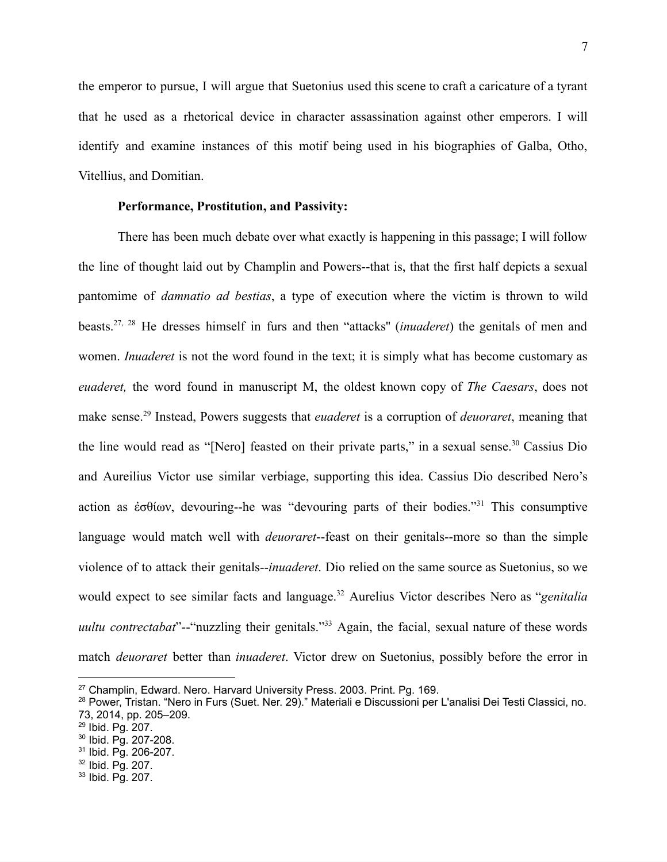the emperor to pursue, I will argue that Suetonius used this scene to craft a caricature of a tyrant that he used as a rhetorical device in character assassination against other emperors. I will identify and examine instances of this motif being used in his biographies of Galba, Otho, Vitellius, and Domitian.

# **Performance, Prostitution, and Passivity:**

There has been much debate over what exactly is happening in this passage; I will follow the line of thought laid out by Champlin and Powers--that is, that the first half depicts a sexual pantomime of *damnatio ad bestias*, a type of execution where the victim is thrown to wild beasts.27, <sup>28</sup> He dresses himself in furs and then "attacks'' (*inuaderet*) the genitals of men and women. *Inuaderet* is not the word found in the text; it is simply what has become customary as *euaderet,* the word found in manuscript M, the oldest known copy of *The Caesars*, does not make sense.<sup>29</sup> Instead, Powers suggests that *euaderet* is a corruption of *deuoraret*, meaning that the line would read as "[Nero] feasted on their private parts," in a sexual sense.<sup>30</sup> Cassius Dio and Aureilius Victor use similar verbiage, supporting this idea. Cassius Dio described Nero's action as ἐσθίων, devouring--he was "devouring parts of their bodies."<sup>31</sup> This consumptive language would match well with *deuoraret*--feast on their genitals--more so than the simple violence of to attack their genitals--*inuaderet*. Dio relied on the same source as Suetonius, so we would expect to see similar facts and language.<sup>32</sup> Aurelius Victor describes Nero as "*genitalia uultu contrectabat*"--"nuzzling their genitals."<sup>33</sup> Again, the facial, sexual nature of these words match *deuoraret* better than *inuaderet*. Victor drew on Suetonius, possibly before the error in

<sup>&</sup>lt;sup>27</sup> Champlin, Edward, Nero. Harvard University Press, 2003, Print, Pg. 169.

<sup>28</sup> Power, Tristan. "Nero in Furs (Suet. Ner. 29)." Materiali e Discussioni per L'analisi Dei Testi Classici, no. 73, 2014, pp. 205–209.

<sup>29</sup> Ibid. Pg. 207.

<sup>30</sup> Ibid. Pg. 207-208.

<sup>31</sup> Ibid. Pg. 206-207.

<sup>32</sup> Ibid. Pg. 207.

<sup>33</sup> Ibid. Pg. 207.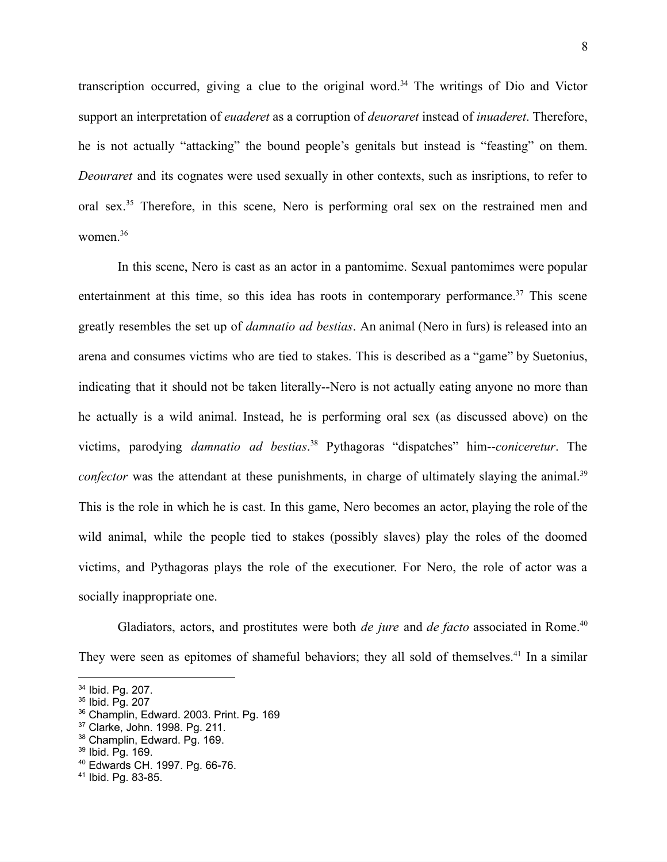transcription occurred, giving a clue to the original word.<sup>34</sup> The writings of Dio and Victor support an interpretation of *euaderet* as a corruption of *deuoraret* instead of *inuaderet*. Therefore, he is not actually "attacking" the bound people's genitals but instead is "feasting" on them. *Deouraret* and its cognates were used sexually in other contexts, such as insriptions, to refer to oral sex.<sup>35</sup> Therefore, in this scene, Nero is performing oral sex on the restrained men and women.<sup>36</sup>

In this scene, Nero is cast as an actor in a pantomime. Sexual pantomimes were popular entertainment at this time, so this idea has roots in contemporary performance.<sup>37</sup> This scene greatly resembles the set up of *damnatio ad bestias*. An animal (Nero in furs) is released into an arena and consumes victims who are tied to stakes. This is described as a "game" by Suetonius, indicating that it should not be taken literally--Nero is not actually eating anyone no more than he actually is a wild animal. Instead, he is performing oral sex (as discussed above) on the victims, parodying *damnatio ad bestias*. <sup>38</sup> Pythagoras "dispatches" him--*coniceretur*. The *confector* was the attendant at these punishments, in charge of ultimately slaying the animal.<sup>39</sup> This is the role in which he is cast. In this game, Nero becomes an actor, playing the role of the wild animal, while the people tied to stakes (possibly slaves) play the roles of the doomed victims, and Pythagoras plays the role of the executioner. For Nero, the role of actor was a socially inappropriate one.

Gladiators, actors, and prostitutes were both *de jure* and *de facto* associated in Rome.<sup>40</sup> They were seen as epitomes of shameful behaviors; they all sold of themselves.<sup>41</sup> In a similar

<sup>34</sup> Ibid. Pg. 207.

<sup>35</sup> Ibid. Pg. 207

<sup>36</sup> Champlin, Edward. 2003. Print. Pg. 169

<sup>37</sup> Clarke, John. 1998. Pg. 211.

<sup>38</sup> Champlin, Edward. Pg. 169.

<sup>39</sup> Ibid. Pg. 169.

<sup>40</sup> Edwards CH. 1997. Pg. 66-76.

<sup>41</sup> Ibid. Pg. 83-85.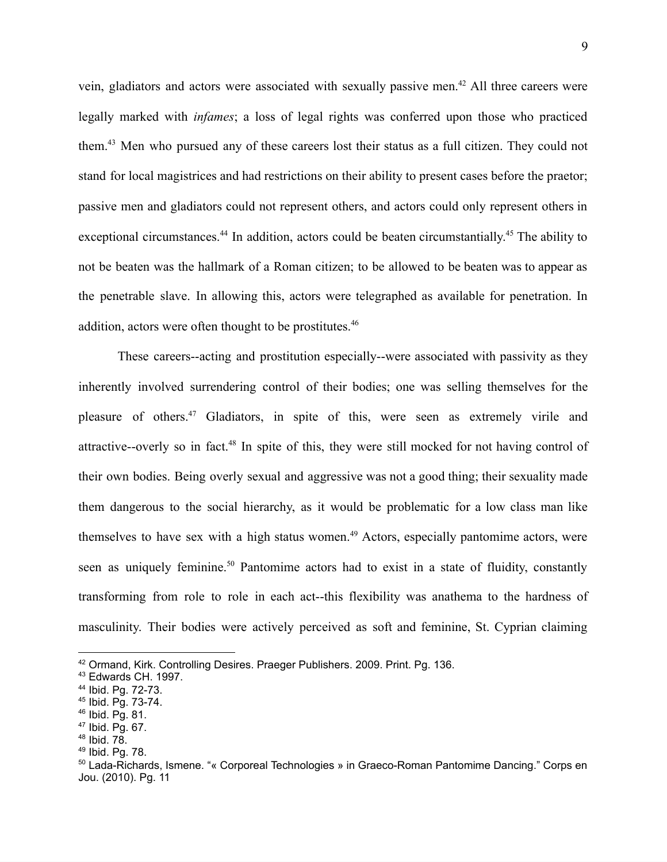vein, gladiators and actors were associated with sexually passive men.<sup>42</sup> All three careers were legally marked with *infames*; a loss of legal rights was conferred upon those who practiced them.<sup>43</sup> Men who pursued any of these careers lost their status as a full citizen. They could not stand for local magistrices and had restrictions on their ability to present cases before the praetor; passive men and gladiators could not represent others, and actors could only represent others in exceptional circumstances.<sup>44</sup> In addition, actors could be beaten circumstantially.<sup>45</sup> The ability to not be beaten was the hallmark of a Roman citizen; to be allowed to be beaten was to appear as the penetrable slave. In allowing this, actors were telegraphed as available for penetration. In addition, actors were often thought to be prostitutes.<sup>46</sup>

These careers--acting and prostitution especially--were associated with passivity as they inherently involved surrendering control of their bodies; one was selling themselves for the pleasure of others.<sup>47</sup> Gladiators, in spite of this, were seen as extremely virile and attractive--overly so in fact.<sup>48</sup> In spite of this, they were still mocked for not having control of their own bodies. Being overly sexual and aggressive was not a good thing; their sexuality made them dangerous to the social hierarchy, as it would be problematic for a low class man like themselves to have sex with a high status women.<sup>49</sup> Actors, especially pantomime actors, were seen as uniquely feminine.<sup>50</sup> Pantomime actors had to exist in a state of fluidity, constantly transforming from role to role in each act--this flexibility was anathema to the hardness of masculinity. Their bodies were actively perceived as soft and feminine, St. Cyprian claiming

<sup>42</sup> Ormand, Kirk. Controlling Desires. Praeger Publishers. 2009. Print. Pg. 136.

<sup>43</sup> Edwards CH. 1997.

<sup>44</sup> Ibid. Pg. 72-73.

<sup>45</sup> Ibid. Pg. 73-74.

<sup>46</sup> Ibid. Pg. 81.

<sup>47</sup> Ibid. Pg. 67.

 $48$  Ibid.  $78.$ 

<sup>49</sup> Ibid. Pg. 78.

<sup>&</sup>lt;sup>50</sup> Lada-Richards, Ismene. "« Corporeal Technologies » in Graeco-Roman Pantomime Dancing." Corps en Jou. (2010). Pg. 11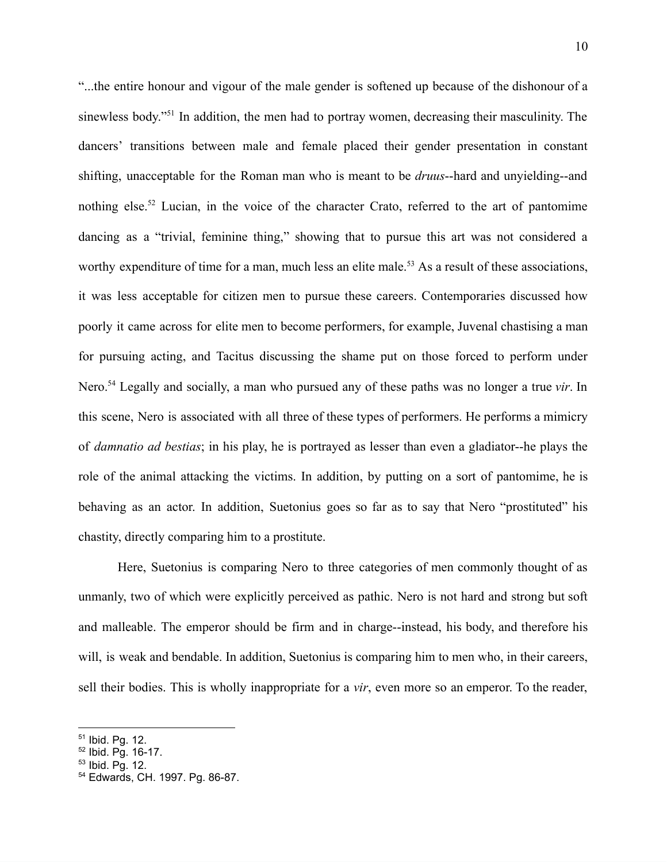"...the entire honour and vigour of the male gender is softened up because of the dishonour of a sinewless body."<sup>51</sup> In addition, the men had to portray women, decreasing their masculinity. The dancers' transitions between male and female placed their gender presentation in constant shifting, unacceptable for the Roman man who is meant to be *druus*--hard and unyielding--and nothing else.<sup>52</sup> Lucian, in the voice of the character Crato, referred to the art of pantomime dancing as a "trivial, feminine thing," showing that to pursue this art was not considered a worthy expenditure of time for a man, much less an elite male.<sup>53</sup> As a result of these associations, it was less acceptable for citizen men to pursue these careers. Contemporaries discussed how poorly it came across for elite men to become performers, for example, Juvenal chastising a man for pursuing acting, and Tacitus discussing the shame put on those forced to perform under Nero.<sup>54</sup> Legally and socially, a man who pursued any of these paths was no longer a true *vir*. In this scene, Nero is associated with all three of these types of performers. He performs a mimicry of *damnatio ad bestias*; in his play, he is portrayed as lesser than even a gladiator--he plays the role of the animal attacking the victims. In addition, by putting on a sort of pantomime, he is behaving as an actor. In addition, Suetonius goes so far as to say that Nero "prostituted" his chastity, directly comparing him to a prostitute.

Here, Suetonius is comparing Nero to three categories of men commonly thought of as unmanly, two of which were explicitly perceived as pathic. Nero is not hard and strong but soft and malleable. The emperor should be firm and in charge--instead, his body, and therefore his will, is weak and bendable. In addition, Suetonius is comparing him to men who, in their careers, sell their bodies. This is wholly inappropriate for a *vir*, even more so an emperor. To the reader,

<sup>51</sup> Ibid. Pg. 12.

<sup>52</sup> Ibid. Pg. 16-17.

<sup>53</sup> Ibid. Pg. 12.

<sup>54</sup> Edwards, CH. 1997. Pg. 86-87.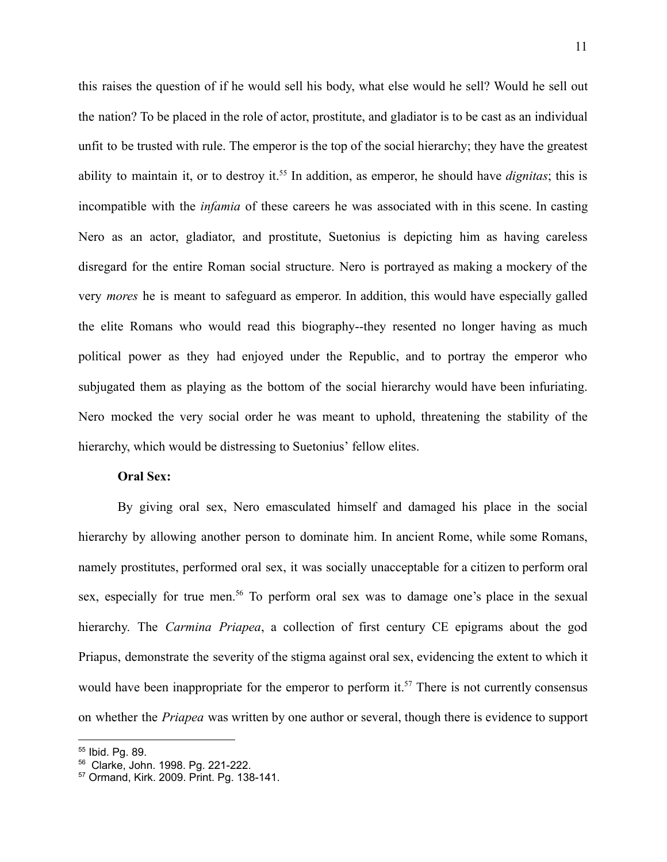this raises the question of if he would sell his body, what else would he sell? Would he sell out the nation? To be placed in the role of actor, prostitute, and gladiator is to be cast as an individual unfit to be trusted with rule. The emperor is the top of the social hierarchy; they have the greatest ability to maintain it, or to destroy it.<sup>55</sup> In addition, as emperor, he should have *dignitas*; this is incompatible with the *infamia* of these careers he was associated with in this scene. In casting Nero as an actor, gladiator, and prostitute, Suetonius is depicting him as having careless disregard for the entire Roman social structure. Nero is portrayed as making a mockery of the very *mores* he is meant to safeguard as emperor. In addition, this would have especially galled the elite Romans who would read this biography--they resented no longer having as much political power as they had enjoyed under the Republic, and to portray the emperor who subjugated them as playing as the bottom of the social hierarchy would have been infuriating. Nero mocked the very social order he was meant to uphold, threatening the stability of the hierarchy, which would be distressing to Suetonius' fellow elites.

# **Oral Sex:**

By giving oral sex, Nero emasculated himself and damaged his place in the social hierarchy by allowing another person to dominate him. In ancient Rome, while some Romans, namely prostitutes, performed oral sex, it was socially unacceptable for a citizen to perform oral sex, especially for true men.<sup>56</sup> To perform oral sex was to damage one's place in the sexual hierarchy. The *Carmina Priapea*, a collection of first century CE epigrams about the god Priapus, demonstrate the severity of the stigma against oral sex, evidencing the extent to which it would have been inappropriate for the emperor to perform it.<sup>57</sup> There is not currently consensus on whether the *Priapea* was written by one author or several, though there is evidence to support

<sup>55</sup> Ibid. Pg. 89.

<sup>56</sup> Clarke, John. 1998. Pg. 221-222.

<sup>57</sup> Ormand, Kirk. 2009. Print. Pg. 138-141.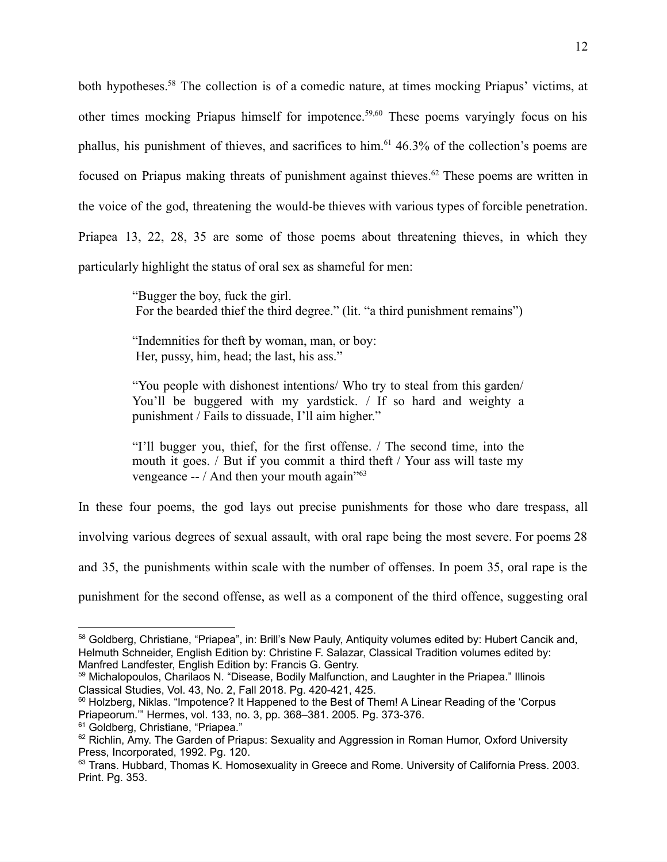both hypotheses.<sup>58</sup> The collection is of a comedic nature, at times mocking Priapus' victims, at other times mocking Priapus himself for impotence.<sup>59,60</sup> These poems varyingly focus on his phallus, his punishment of thieves, and sacrifices to him.<sup>61</sup> 46.3% of the collection's poems are focused on Priapus making threats of punishment against thieves.<sup>62</sup> These poems are written in the voice of the god, threatening the would-be thieves with various types of forcible penetration. Priapea 13, 22, 28, 35 are some of those poems about threatening thieves, in which they particularly highlight the status of oral sex as shameful for men:

> "Bugger the boy, fuck the girl. For the bearded thief the third degree." (lit. "a third punishment remains")

"Indemnities for theft by woman, man, or boy: Her, pussy, him, head; the last, his ass."

"You people with dishonest intentions/ Who try to steal from this garden/ You'll be buggered with my yardstick. / If so hard and weighty a punishment / Fails to dissuade, I'll aim higher."

"I'll bugger you, thief, for the first offense. / The second time, into the mouth it goes. / But if you commit a third theft / Your ass will taste my vengeance  $-$  / And then your mouth again<sup> $10^{63}$ </sup>

In these four poems, the god lays out precise punishments for those who dare trespass, all

involving various degrees of sexual assault, with oral rape being the most severe. For poems 28

and 35, the punishments within scale with the number of offenses. In poem 35, oral rape is the

punishment for the second offense, as well as a component of the third offence, suggesting oral

<sup>58</sup> Goldberg, Christiane, "Priapea", in: Brill's New Pauly, Antiquity volumes edited by: Hubert Cancik and, Helmuth Schneider, English Edition by: Christine F. Salazar, Classical Tradition volumes edited by: Manfred Landfester, English Edition by: Francis G. Gentry.

<sup>59</sup> Michalopoulos, Charilaos N. "Disease, Bodily Malfunction, and Laughter in the Priapea." Illinois Classical Studies, Vol. 43, No. 2, Fall 2018. Pg. 420-421, 425.

<sup>&</sup>lt;sup>60</sup> Holzberg, Niklas. "Impotence? It Happened to the Best of Them! A Linear Reading of the 'Corpus Priapeorum.'" Hermes, vol. 133, no. 3, pp. 368–381. 2005. Pg. 373-376.

<sup>&</sup>lt;sup>61</sup> Goldberg, Christiane, "Priapea."

<sup>&</sup>lt;sup>62</sup> Richlin, Amy. The Garden of Priapus: Sexuality and Aggression in Roman Humor, Oxford University Press, Incorporated, 1992. Pg. 120.

 $63$  Trans. Hubbard, Thomas K. Homosexuality in Greece and Rome. University of California Press. 2003. Print. Pg. 353.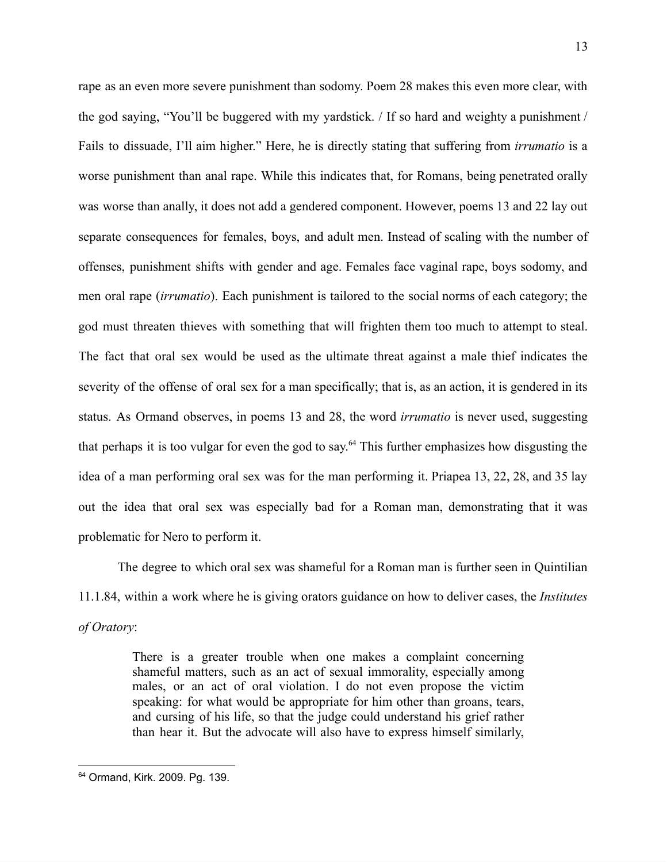rape as an even more severe punishment than sodomy. Poem 28 makes this even more clear, with the god saying, "You'll be buggered with my yardstick. / If so hard and weighty a punishment / Fails to dissuade, I'll aim higher." Here, he is directly stating that suffering from *irrumatio* is a worse punishment than anal rape. While this indicates that, for Romans, being penetrated orally was worse than anally, it does not add a gendered component. However, poems 13 and 22 lay out separate consequences for females, boys, and adult men. Instead of scaling with the number of offenses, punishment shifts with gender and age. Females face vaginal rape, boys sodomy, and men oral rape (*irrumatio*). Each punishment is tailored to the social norms of each category; the god must threaten thieves with something that will frighten them too much to attempt to steal. The fact that oral sex would be used as the ultimate threat against a male thief indicates the severity of the offense of oral sex for a man specifically; that is, as an action, it is gendered in its status. As Ormand observes, in poems 13 and 28, the word *irrumatio* is never used, suggesting that perhaps it is too vulgar for even the god to say.<sup>64</sup> This further emphasizes how disgusting the idea of a man performing oral sex was for the man performing it. Priapea 13, 22, 28, and 35 lay out the idea that oral sex was especially bad for a Roman man, demonstrating that it was problematic for Nero to perform it.

The degree to which oral sex was shameful for a Roman man is further seen in Quintilian 11.1.84, within a work where he is giving orators guidance on how to deliver cases, the *Institutes of Oratory*:

> There is a greater trouble when one makes a complaint concerning shameful matters, such as an act of sexual immorality, especially among males, or an act of oral violation. I do not even propose the victim speaking: for what would be appropriate for him other than groans, tears, and cursing of his life, so that the judge could understand his grief rather than hear it. But the advocate will also have to express himself similarly,

<sup>64</sup> Ormand, Kirk. 2009. Pg. 139.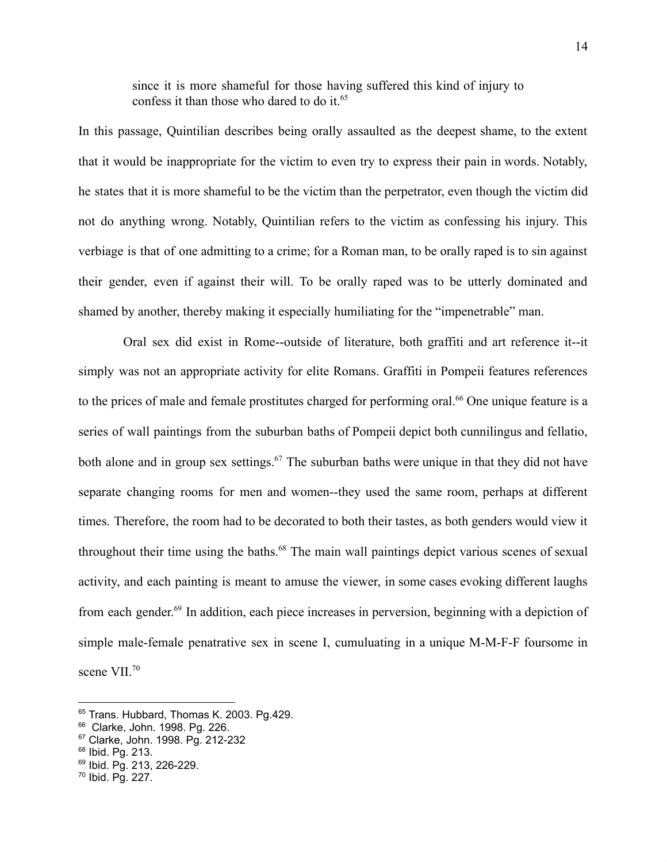since it is more shameful for those having suffered this kind of injury to confess it than those who dared to do it.<sup>65</sup>

In this passage, Quintilian describes being orally assaulted as the deepest shame, to the extent that it would be inappropriate for the victim to even try to express their pain in words. Notably, he states that it is more shameful to be the victim than the perpetrator, even though the victim did not do anything wrong. Notably, Quintilian refers to the victim as confessing his injury. This verbiage is that of one admitting to a crime; for a Roman man, to be orally raped is to sin against their gender, even if against their will. To be orally raped was to be utterly dominated and shamed by another, thereby making it especially humiliating for the "impenetrable" man.

Oral sex did exist in Rome--outside of literature, both graffiti and art reference it--it simply was not an appropriate activity for elite Romans. Graffiti in Pompeii features references to the prices of male and female prostitutes charged for performing oral.<sup>66</sup> One unique feature is a series of wall paintings from the suburban baths of Pompeii depict both cunnilingus and fellatio, both alone and in group sex settings.<sup>67</sup> The suburban baths were unique in that they did not have separate changing rooms for men and women--they used the same room, perhaps at different times. Therefore, the room had to be decorated to both their tastes, as both genders would view it throughout their time using the baths.<sup>68</sup> The main wall paintings depict various scenes of sexual activity, and each painting is meant to amuse the viewer, in some cases evoking different laughs from each gender.<sup>69</sup> In addition, each piece increases in perversion, beginning with a depiction of simple male-female penatrative sex in scene I, cumuluating in a unique M-M-F-F foursome in scene VII.<sup>70</sup>

<sup>&</sup>lt;sup>65</sup> Trans. Hubbard, Thomas K. 2003. Pg.429.

<sup>66</sup> Clarke, John. 1998. Pg. 226.

<sup>67</sup> Clarke, John. 1998. Pg. 212-232

<sup>68</sup> Ibid. Pg. 213.

<sup>69</sup> Ibid. Pg. 213, 226-229.

<sup>70</sup> Ibid. Pg. 227.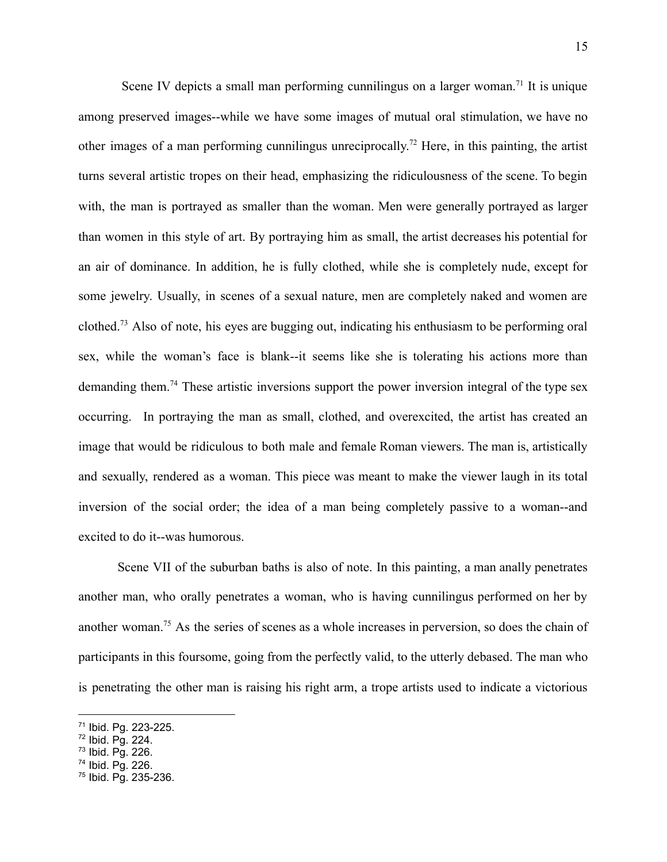Scene IV depicts a small man performing cunnilingus on a larger woman.<sup>71</sup> It is unique among preserved images--while we have some images of mutual oral stimulation, we have no other images of a man performing cunnilingus unreciprocally.<sup>72</sup> Here, in this painting, the artist turns several artistic tropes on their head, emphasizing the ridiculousness of the scene. To begin with, the man is portrayed as smaller than the woman. Men were generally portrayed as larger than women in this style of art. By portraying him as small, the artist decreases his potential for an air of dominance. In addition, he is fully clothed, while she is completely nude, except for some jewelry. Usually, in scenes of a sexual nature, men are completely naked and women are clothed.<sup>73</sup> Also of note, his eyes are bugging out, indicating his enthusiasm to be performing oral sex, while the woman's face is blank--it seems like she is tolerating his actions more than demanding them.<sup>74</sup> These artistic inversions support the power inversion integral of the type sex occurring. In portraying the man as small, clothed, and overexcited, the artist has created an image that would be ridiculous to both male and female Roman viewers. The man is, artistically and sexually, rendered as a woman. This piece was meant to make the viewer laugh in its total inversion of the social order; the idea of a man being completely passive to a woman--and excited to do it--was humorous.

Scene VII of the suburban baths is also of note. In this painting, a man anally penetrates another man, who orally penetrates a woman, who is having cunnilingus performed on her by another woman.<sup>75</sup> As the series of scenes as a whole increases in perversion, so does the chain of participants in this foursome, going from the perfectly valid, to the utterly debased. The man who is penetrating the other man is raising his right arm, a trope artists used to indicate a victorious

<sup>74</sup> Ibid. Pg. 226.

<sup>71</sup> Ibid. Pg. 223-225.

<sup>72</sup> Ibid. Pg. 224.

 $73$  Ibid. Pg. 226.

<sup>75</sup> Ibid. Pg. 235-236.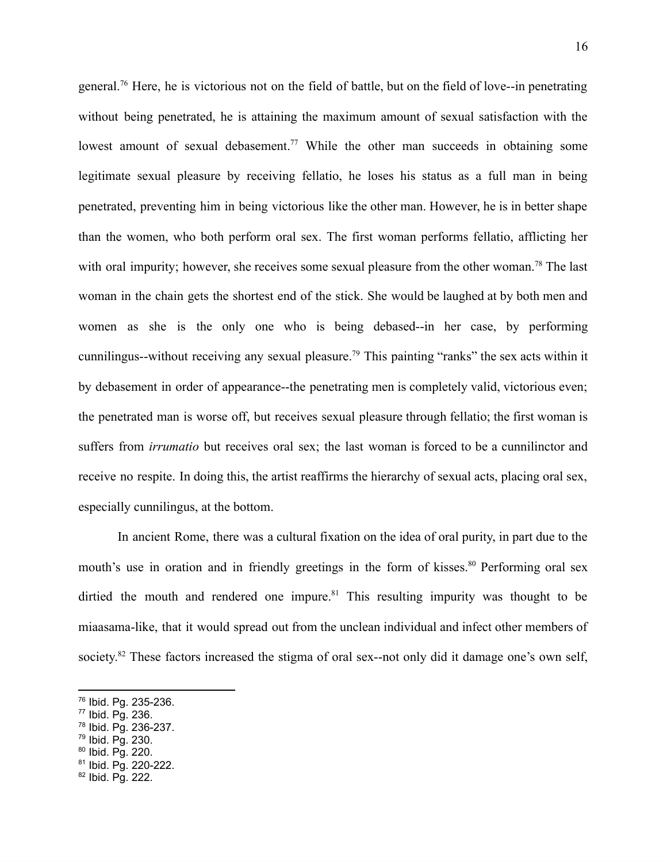general.<sup>76</sup> Here, he is victorious not on the field of battle, but on the field of love--in penetrating without being penetrated, he is attaining the maximum amount of sexual satisfaction with the lowest amount of sexual debasement.<sup>77</sup> While the other man succeeds in obtaining some legitimate sexual pleasure by receiving fellatio, he loses his status as a full man in being penetrated, preventing him in being victorious like the other man. However, he is in better shape than the women, who both perform oral sex. The first woman performs fellatio, afflicting her with oral impurity; however, she receives some sexual pleasure from the other woman.<sup>78</sup> The last woman in the chain gets the shortest end of the stick. She would be laughed at by both men and women as she is the only one who is being debased--in her case, by performing cunnilingus--without receiving any sexual pleasure.<sup>79</sup> This painting "ranks" the sex acts within it by debasement in order of appearance--the penetrating men is completely valid, victorious even; the penetrated man is worse off, but receives sexual pleasure through fellatio; the first woman is suffers from *irrumatio* but receives oral sex; the last woman is forced to be a cunnilinctor and receive no respite. In doing this, the artist reaffirms the hierarchy of sexual acts, placing oral sex, especially cunnilingus, at the bottom.

In ancient Rome, there was a cultural fixation on the idea of oral purity, in part due to the mouth's use in oration and in friendly greetings in the form of kisses.<sup>80</sup> Performing oral sex dirtied the mouth and rendered one impure. $81$  This resulting impurity was thought to be miaasama-like, that it would spread out from the unclean individual and infect other members of society.<sup>82</sup> These factors increased the stigma of oral sex--not only did it damage one's own self,

- <sup>77</sup> Ibid. Pg. 236.
- <sup>78</sup> Ibid. Pg. 236-237.
- <sup>79</sup> Ibid. Pg. 230.
- <sup>80</sup> Ibid. Pg. 220.
- <sup>81</sup> Ibid. Pg. 220-222.
- <sup>82</sup> Ibid. Pg. 222.

<sup>76</sup> Ibid. Pg. 235-236.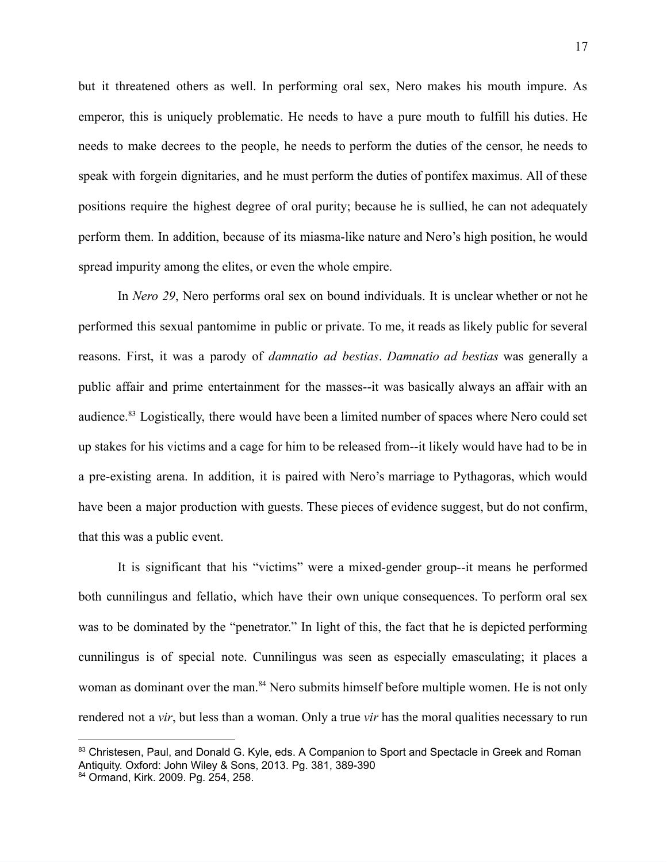but it threatened others as well. In performing oral sex, Nero makes his mouth impure. As emperor, this is uniquely problematic. He needs to have a pure mouth to fulfill his duties. He needs to make decrees to the people, he needs to perform the duties of the censor, he needs to speak with forgein dignitaries, and he must perform the duties of pontifex maximus. All of these positions require the highest degree of oral purity; because he is sullied, he can not adequately perform them. In addition, because of its miasma-like nature and Nero's high position, he would spread impurity among the elites, or even the whole empire.

In *Nero 29*, Nero performs oral sex on bound individuals. It is unclear whether or not he performed this sexual pantomime in public or private. To me, it reads as likely public for several reasons. First, it was a parody of *damnatio ad bestias*. *Damnatio ad bestias* was generally a public affair and prime entertainment for the masses--it was basically always an affair with an audience.<sup>83</sup> Logistically, there would have been a limited number of spaces where Nero could set up stakes for his victims and a cage for him to be released from--it likely would have had to be in a pre-existing arena. In addition, it is paired with Nero's marriage to Pythagoras, which would have been a major production with guests. These pieces of evidence suggest, but do not confirm, that this was a public event.

It is significant that his "victims" were a mixed-gender group--it means he performed both cunnilingus and fellatio, which have their own unique consequences. To perform oral sex was to be dominated by the "penetrator." In light of this, the fact that he is depicted performing cunnilingus is of special note. Cunnilingus was seen as especially emasculating; it places a woman as dominant over the man.<sup>84</sup> Nero submits himself before multiple women. He is not only rendered not a *vir*, but less than a woman. Only a true *vir* has the moral qualities necessary to run

<sup>83</sup> Christesen, Paul, and Donald G. Kyle, eds. A Companion to Sport and Spectacle in Greek and Roman Antiquity. Oxford: John Wiley & Sons, 2013. Pg. 381, 389-390

<sup>84</sup> Ormand, Kirk. 2009. Pg. 254, 258.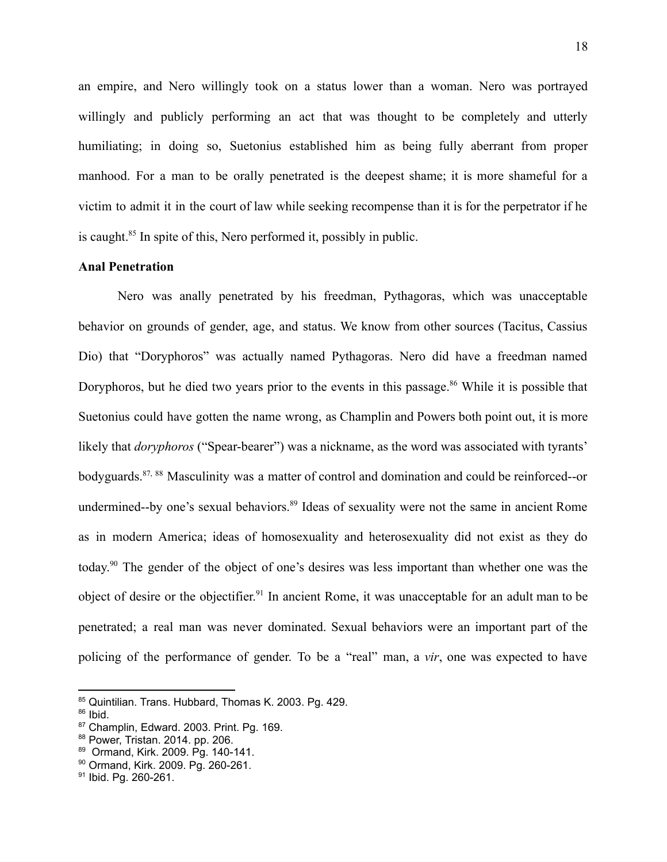an empire, and Nero willingly took on a status lower than a woman. Nero was portrayed willingly and publicly performing an act that was thought to be completely and utterly humiliating; in doing so, Suetonius established him as being fully aberrant from proper manhood. For a man to be orally penetrated is the deepest shame; it is more shameful for a victim to admit it in the court of law while seeking recompense than it is for the perpetrator if he is caught.<sup>85</sup> In spite of this, Nero performed it, possibly in public.

# **Anal Penetration**

Nero was anally penetrated by his freedman, Pythagoras, which was unacceptable behavior on grounds of gender, age, and status. We know from other sources (Tacitus, Cassius Dio) that "Doryphoros" was actually named Pythagoras. Nero did have a freedman named Doryphoros, but he died two years prior to the events in this passage.<sup>86</sup> While it is possible that Suetonius could have gotten the name wrong, as Champlin and Powers both point out, it is more likely that *doryphoros* ("Spear-bearer") was a nickname, as the word was associated with tyrants' bodyguards.<sup>87, 88</sup> Masculinity was a matter of control and domination and could be reinforced--or undermined--by one's sexual behaviors.<sup>89</sup> Ideas of sexuality were not the same in ancient Rome as in modern America; ideas of homosexuality and heterosexuality did not exist as they do today.<sup>90</sup> The gender of the object of one's desires was less important than whether one was the object of desire or the objectifier.<sup>91</sup> In ancient Rome, it was unacceptable for an adult man to be penetrated; a real man was never dominated. Sexual behaviors were an important part of the policing of the performance of gender. To be a "real" man, a *vir*, one was expected to have

<sup>85</sup> Quintilian. Trans. Hubbard, Thomas K. 2003. Pg. 429.

<sup>86</sup> Ibid.

<sup>87</sup> Champlin, Edward. 2003. Print. Pg. 169.

<sup>88</sup> Power, Tristan. 2014. pp. 206.

<sup>89</sup> Ormand, Kirk. 2009. Pg. 140-141.

<sup>90</sup> Ormand, Kirk. 2009. Pg. 260-261.

<sup>91</sup> Ibid. Pg. 260-261.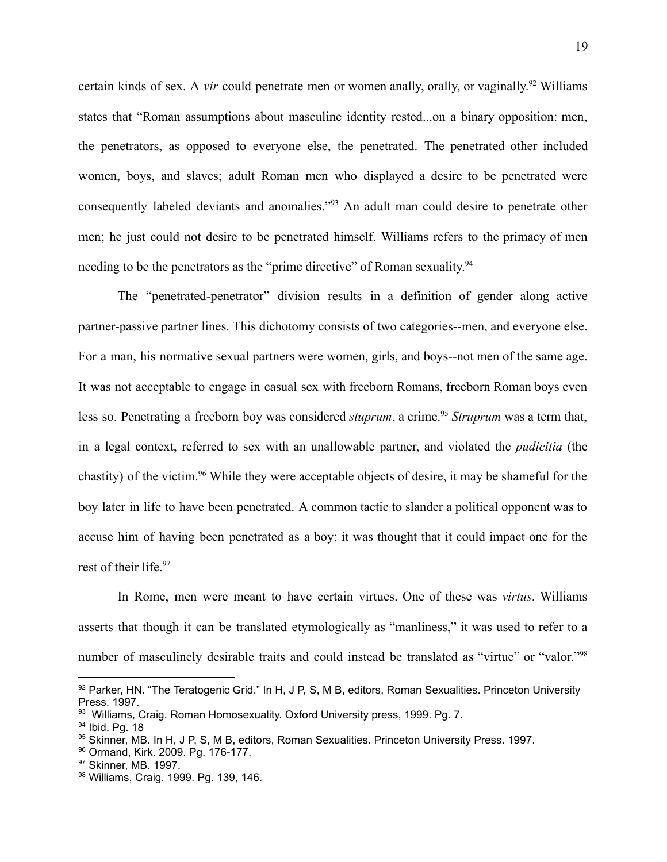certain kinds of sex. A *vir* could penetrate men or women anally, orally, or vaginally.<sup>92</sup> Williams states that "Roman assumptions about masculine identity rested...on a binary opposition: men, the penetrators, as opposed to everyone else, the penetrated. The penetrated other included women, boys, and slaves; adult Roman men who displayed a desire to be penetrated were consequently labeled deviants and anomalies."<sup>93</sup> An adult man could desire to penetrate other men; he just could not desire to be penetrated himself. Williams refers to the primacy of men needing to be the penetrators as the "prime directive" of Roman sexuality.<sup>94</sup>

The "penetrated-penetrator" division results in a definition of gender along active partner-passive partner lines. This dichotomy consists of two categories--men, and everyone else. For a man, his normative sexual partners were women, girls, and boys--not men of the same age. It was not acceptable to engage in casual sex with freeborn Romans, freeborn Roman boys even less so. Penetrating a freeborn boy was considered *stuprum*, a crime.<sup>95</sup> *Struprum* was a term that, in a legal context, referred to sex with an unallowable partner, and violated the *pudicitia* (the chastity) of the victim.<sup>96</sup> While they were acceptable objects of desire, it may be shameful for the boy later in life to have been penetrated. A common tactic to slander a political opponent was to accuse him of having been penetrated as a boy; it was thought that it could impact one for the rest of their life.<sup>97</sup>

In Rome, men were meant to have certain virtues. One of these was *virtus*. Williams asserts that though it can be translated etymologically as "manliness," it was used to refer to a number of masculinely desirable traits and could instead be translated as "virtue" or "valor."<sup>98</sup>

 $92$  Parker, HN. "The Teratogenic Grid." In H, J P, S, M B, editors, Roman Sexualities. Princeton University Press. 1997.

<sup>&</sup>lt;sup>93</sup> Williams, Craig. Roman Homosexuality. Oxford University press, 1999. Pg. 7.

<sup>&</sup>lt;sup>94</sup> Ibid. Pa. 18

<sup>95</sup> Skinner, MB. In H, J P, S, M B, editors, Roman Sexualities. Princeton University Press. 1997.

<sup>96</sup> Ormand, Kirk. 2009. Pg. 176-177.

<sup>97</sup> Skinner, MB. 1997.

<sup>98</sup> Williams, Craig. 1999. Pg. 139, 146.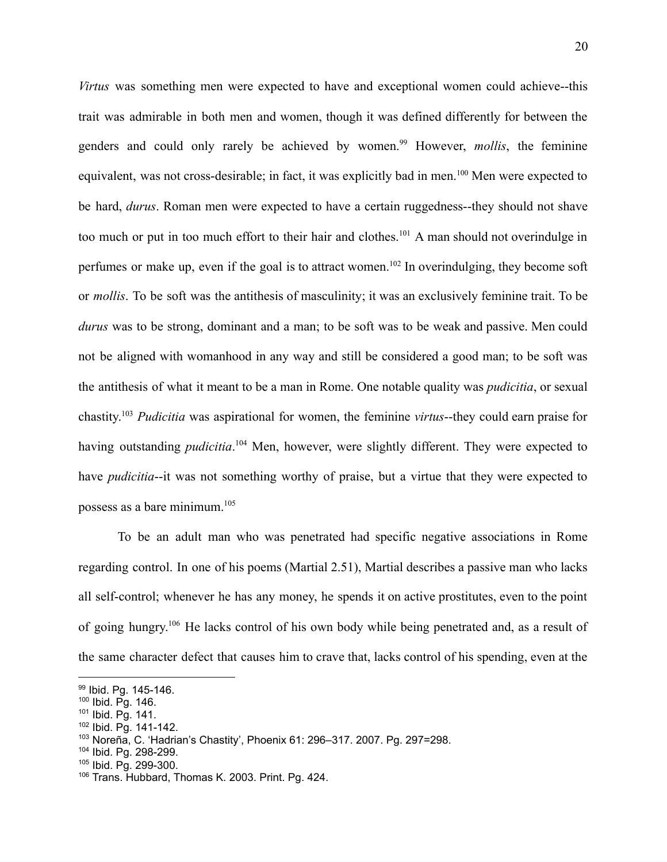*Virtus* was something men were expected to have and exceptional women could achieve--this trait was admirable in both men and women, though it was defined differently for between the genders and could only rarely be achieved by women.<sup>99</sup> However, *mollis*, the feminine equivalent, was not cross-desirable; in fact, it was explicitly bad in men.<sup>100</sup> Men were expected to be hard, *durus*. Roman men were expected to have a certain ruggedness--they should not shave too much or put in too much effort to their hair and clothes.<sup>101</sup> A man should not overindulge in perfumes or make up, even if the goal is to attract women.<sup>102</sup> In overindulging, they become soft or *mollis*. To be soft was the antithesis of masculinity; it was an exclusively feminine trait. To be *durus* was to be strong, dominant and a man; to be soft was to be weak and passive. Men could not be aligned with womanhood in any way and still be considered a good man; to be soft was the antithesis of what it meant to be a man in Rome. One notable quality was *pudicitia*, or sexual chastity.<sup>103</sup> *Pudicitia* was aspirational for women, the feminine *virtus*--they could earn praise for having outstanding *pudicitia*. <sup>104</sup> Men, however, were slightly different. They were expected to have *pudicitia*--it was not something worthy of praise, but a virtue that they were expected to possess as a bare minimum.<sup>105</sup>

To be an adult man who was penetrated had specific negative associations in Rome regarding control. In one of his poems (Martial 2.51), Martial describes a passive man who lacks all self-control; whenever he has any money, he spends it on active prostitutes, even to the point of going hungry.<sup>106</sup> He lacks control of his own body while being penetrated and, as a result of the same character defect that causes him to crave that, lacks control of his spending, even at the

<sup>99</sup> Ibid. Pa. 145-146.

<sup>100</sup> Ibid. Pg. 146.

<sup>101</sup> Ibid. Pg. 141.

<sup>102</sup> Ibid. Pg. 141-142.

<sup>103</sup> Noreña, C. 'Hadrian's Chastity', Phoenix 61: 296–317. 2007. Pg. 297=298.

<sup>104</sup> Ibid. Pg. 298-299.

<sup>105</sup> Ibid. Pg. 299-300.

<sup>106</sup> Trans. Hubbard, Thomas K. 2003. Print. Pg. 424.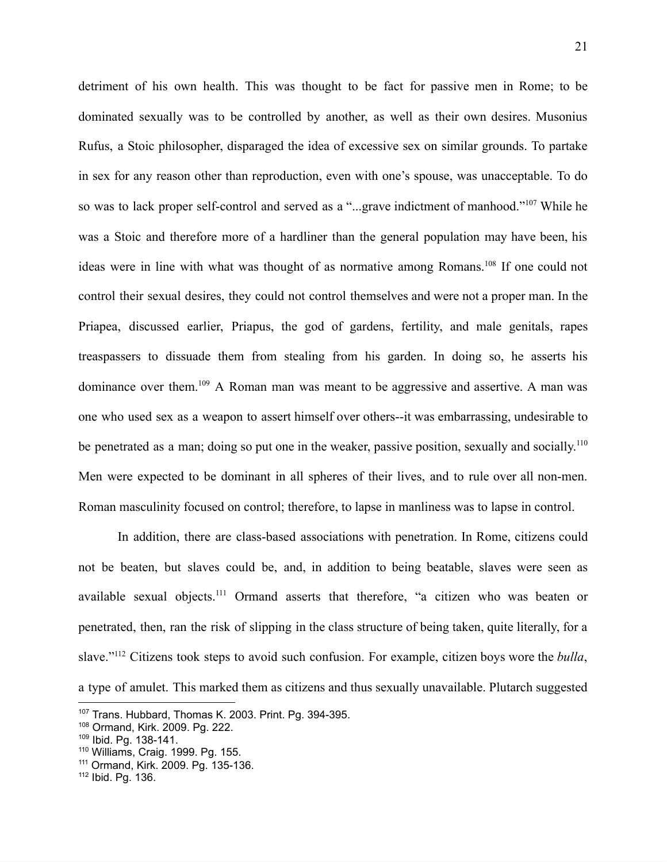detriment of his own health. This was thought to be fact for passive men in Rome; to be dominated sexually was to be controlled by another, as well as their own desires. Musonius Rufus, a Stoic philosopher, disparaged the idea of excessive sex on similar grounds. To partake in sex for any reason other than reproduction, even with one's spouse, was unacceptable. To do so was to lack proper self-control and served as a "...grave indictment of manhood."<sup>107</sup> While he was a Stoic and therefore more of a hardliner than the general population may have been, his ideas were in line with what was thought of as normative among Romans.<sup>108</sup> If one could not control their sexual desires, they could not control themselves and were not a proper man. In the Priapea, discussed earlier, Priapus, the god of gardens, fertility, and male genitals, rapes treaspassers to dissuade them from stealing from his garden. In doing so, he asserts his dominance over them.<sup>109</sup> A Roman man was meant to be aggressive and assertive. A man was one who used sex as a weapon to assert himself over others--it was embarrassing, undesirable to be penetrated as a man; doing so put one in the weaker, passive position, sexually and socially.<sup>110</sup> Men were expected to be dominant in all spheres of their lives, and to rule over all non-men. Roman masculinity focused on control; therefore, to lapse in manliness was to lapse in control.

In addition, there are class-based associations with penetration. In Rome, citizens could not be beaten, but slaves could be, and, in addition to being beatable, slaves were seen as available sexual objects.<sup>111</sup> Ormand asserts that therefore, "a citizen who was beaten or penetrated, then, ran the risk of slipping in the class structure of being taken, quite literally, for a slave."<sup>112</sup> Citizens took steps to avoid such confusion. For example, citizen boys wore the *bulla*, a type of amulet. This marked them as citizens and thus sexually unavailable. Plutarch suggested

<sup>107</sup> Trans. Hubbard, Thomas K. 2003. Print. Pg. 394-395.

<sup>108</sup> Ormand, Kirk. 2009. Pg. 222.

<sup>109</sup> Ibid. Pg. 138-141.

<sup>110</sup> Williams, Craig. 1999. Pg. 155.

<sup>111</sup> Ormand, Kirk. 2009. Pg. 135-136.

<sup>112</sup> Ibid. Pg. 136.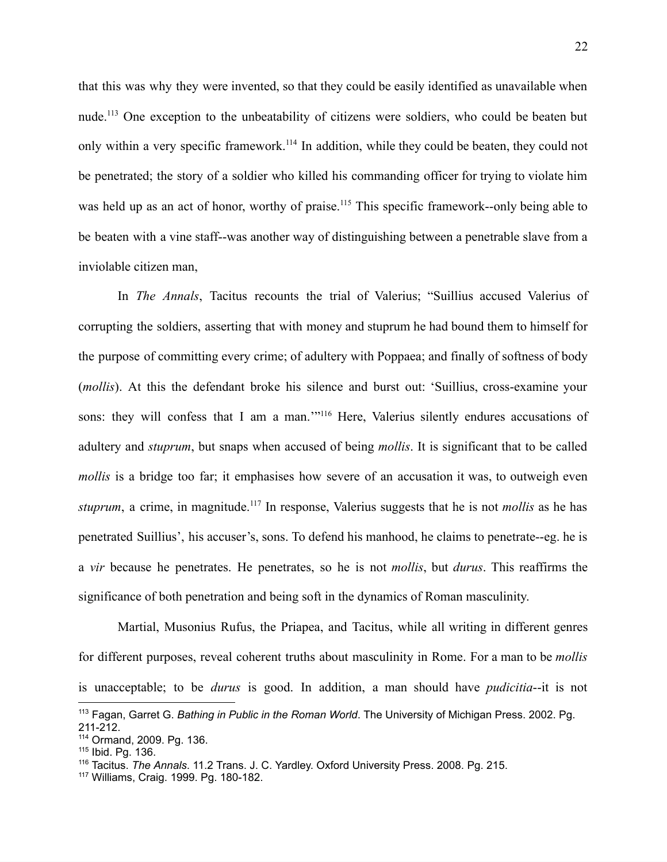that this was why they were invented, so that they could be easily identified as unavailable when nude.<sup>113</sup> One exception to the unbeatability of citizens were soldiers, who could be beaten but only within a very specific framework.<sup>114</sup> In addition, while they could be beaten, they could not be penetrated; the story of a soldier who killed his commanding officer for trying to violate him was held up as an act of honor, worthy of praise.<sup>115</sup> This specific framework--only being able to be beaten with a vine staff--was another way of distinguishing between a penetrable slave from a inviolable citizen man,

In *The Annals*, Tacitus recounts the trial of Valerius; "Suillius accused Valerius of corrupting the soldiers, asserting that with money and stuprum he had bound them to himself for the purpose of committing every crime; of adultery with Poppaea; and finally of softness of body (*mollis*). At this the defendant broke his silence and burst out: 'Suillius, cross-examine your sons: they will confess that I am a man."<sup>116</sup> Here, Valerius silently endures accusations of adultery and *stuprum*, but snaps when accused of being *mollis*. It is significant that to be called *mollis* is a bridge too far; it emphasises how severe of an accusation it was, to outweigh even *stuprum*, a crime, in magnitude.<sup>117</sup> In response, Valerius suggests that he is not *mollis* as he has penetrated Suillius', his accuser's, sons. To defend his manhood, he claims to penetrate--eg. he is a *vir* because he penetrates. He penetrates, so he is not *mollis*, but *durus*. This reaffirms the significance of both penetration and being soft in the dynamics of Roman masculinity.

Martial, Musonius Rufus, the Priapea, and Tacitus, while all writing in different genres for different purposes, reveal coherent truths about masculinity in Rome. For a man to be *mollis* is unacceptable; to be *durus* is good. In addition, a man should have *pudicitia*--it is not

<sup>113</sup> Fagan, Garret G. *Bathing in Public in the Roman World*. The University of Michigan Press. 2002. Pg. 211-212.

<sup>114</sup> Ormand, 2009. Pg. 136.

<sup>115</sup> Ibid. Pg. 136.

<sup>116</sup> Tacitus. *The Annals*. 11.2 Trans. J. C. Yardley. Oxford University Press. 2008. Pg. 215.

<sup>117</sup> Williams, Craig. 1999. Pg. 180-182.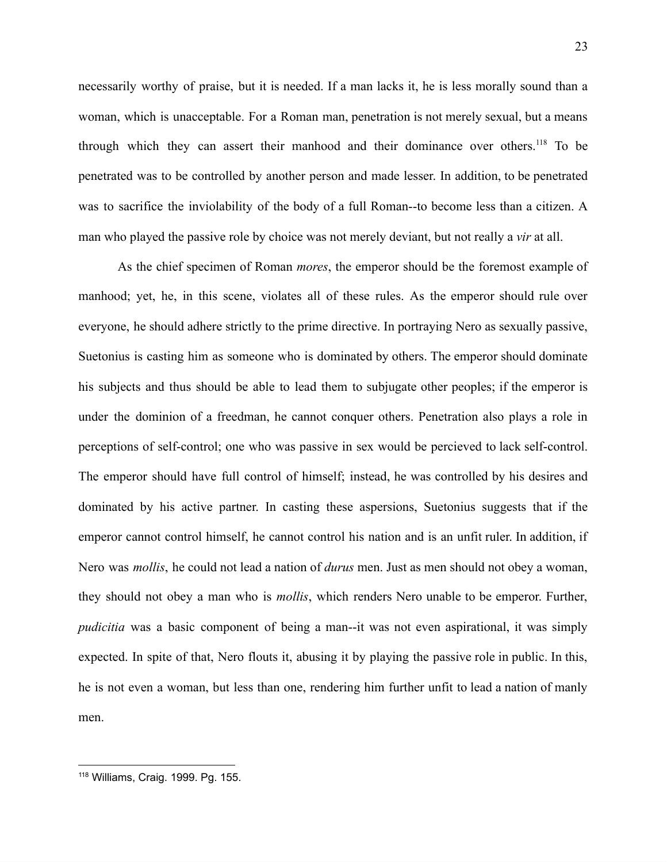necessarily worthy of praise, but it is needed. If a man lacks it, he is less morally sound than a woman, which is unacceptable. For a Roman man, penetration is not merely sexual, but a means through which they can assert their manhood and their dominance over others.<sup>118</sup> To be penetrated was to be controlled by another person and made lesser. In addition, to be penetrated was to sacrifice the inviolability of the body of a full Roman--to become less than a citizen. A man who played the passive role by choice was not merely deviant, but not really a *vir* at all.

As the chief specimen of Roman *mores*, the emperor should be the foremost example of manhood; yet, he, in this scene, violates all of these rules. As the emperor should rule over everyone, he should adhere strictly to the prime directive. In portraying Nero as sexually passive, Suetonius is casting him as someone who is dominated by others. The emperor should dominate his subjects and thus should be able to lead them to subjugate other peoples; if the emperor is under the dominion of a freedman, he cannot conquer others. Penetration also plays a role in perceptions of self-control; one who was passive in sex would be percieved to lack self-control. The emperor should have full control of himself; instead, he was controlled by his desires and dominated by his active partner. In casting these aspersions, Suetonius suggests that if the emperor cannot control himself, he cannot control his nation and is an unfit ruler. In addition, if Nero was *mollis*, he could not lead a nation of *durus* men. Just as men should not obey a woman, they should not obey a man who is *mollis*, which renders Nero unable to be emperor. Further, *pudicitia* was a basic component of being a man--it was not even aspirational, it was simply expected. In spite of that, Nero flouts it, abusing it by playing the passive role in public. In this, he is not even a woman, but less than one, rendering him further unfit to lead a nation of manly men.

<sup>118</sup> Williams, Craig. 1999. Pg. 155.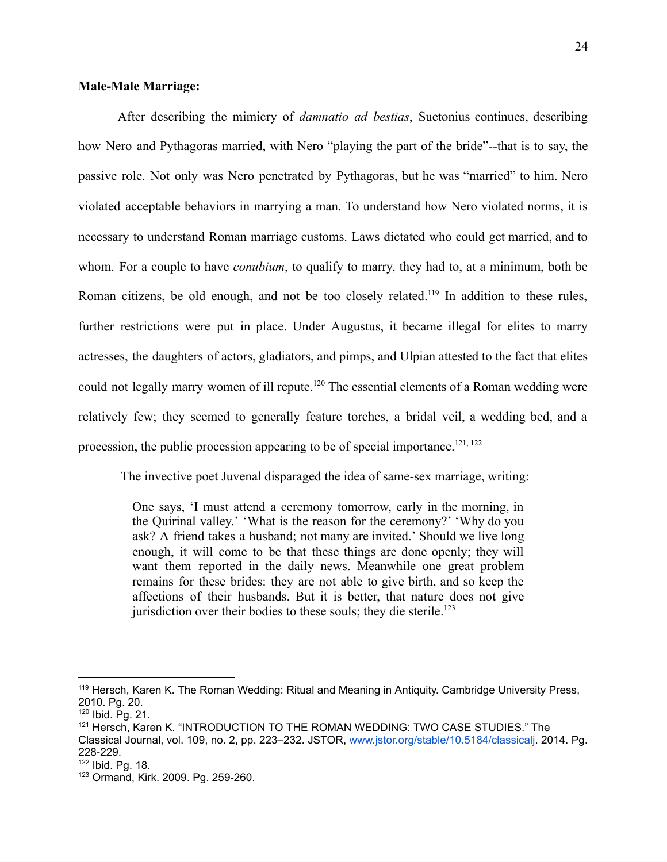# **Male-Male Marriage:**

After describing the mimicry of *damnatio ad bestias*, Suetonius continues, describing how Nero and Pythagoras married, with Nero "playing the part of the bride"--that is to say, the passive role. Not only was Nero penetrated by Pythagoras, but he was "married" to him. Nero violated acceptable behaviors in marrying a man. To understand how Nero violated norms, it is necessary to understand Roman marriage customs. Laws dictated who could get married, and to whom. For a couple to have *conubium*, to qualify to marry, they had to, at a minimum, both be Roman citizens, be old enough, and not be too closely related.<sup>119</sup> In addition to these rules, further restrictions were put in place. Under Augustus, it became illegal for elites to marry actresses, the daughters of actors, gladiators, and pimps, and Ulpian attested to the fact that elites could not legally marry women of ill repute.<sup>120</sup> The essential elements of a Roman wedding were relatively few; they seemed to generally feature torches, a bridal veil, a wedding bed, and a procession, the public procession appearing to be of special importance.<sup>121, 122</sup>

The invective poet Juvenal disparaged the idea of same-sex marriage, writing:

One says, 'I must attend a ceremony tomorrow, early in the morning, in the Quirinal valley.' 'What is the reason for the ceremony?' 'Why do you ask? A friend takes a husband; not many are invited.' Should we live long enough, it will come to be that these things are done openly; they will want them reported in the daily news. Meanwhile one great problem remains for these brides: they are not able to give birth, and so keep the affections of their husbands. But it is better, that nature does not give jurisdiction over their bodies to these souls; they die sterile.<sup>123</sup>

<sup>119</sup> Hersch, Karen K. The Roman Wedding: Ritual and Meaning in Antiquity. Cambridge University Press, 2010. Pg. 20.

<sup>120</sup> Ibid. Pg. 21.

<sup>121</sup> Hersch, Karen K. "INTRODUCTION TO THE ROMAN WEDDING: TWO CASE STUDIES." The Classical Journal, vol. 109, no. 2, pp. 223–232. JSTOR, [www.jstor.org/stable/10.5184/classicalj](http://www.jstor.org/stable/10.5184/classicalj). 2014. Pg. 228-229.

<sup>122</sup> Ibid. Pg. 18.

<sup>123</sup> Ormand, Kirk. 2009. Pg. 259-260.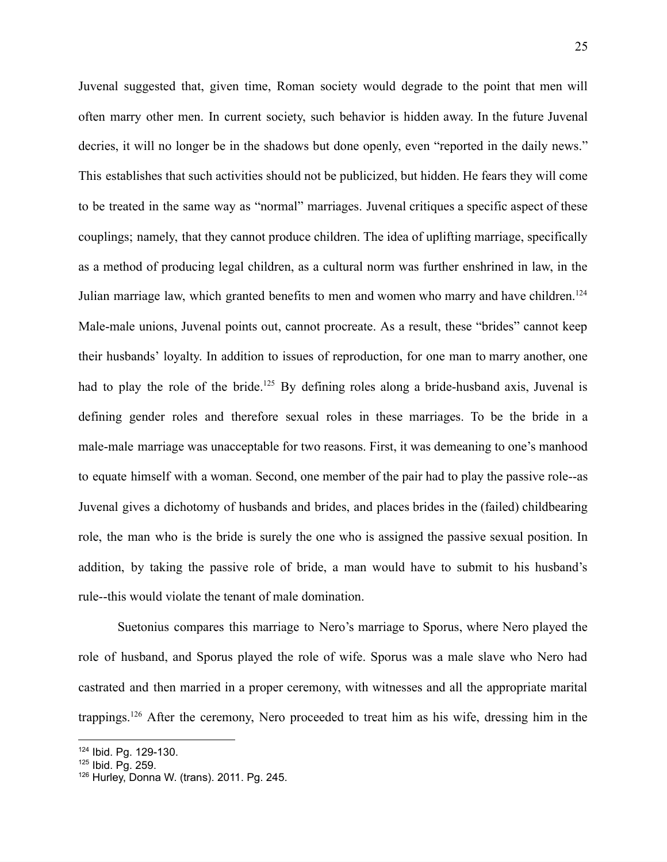Juvenal suggested that, given time, Roman society would degrade to the point that men will often marry other men. In current society, such behavior is hidden away. In the future Juvenal decries, it will no longer be in the shadows but done openly, even "reported in the daily news." This establishes that such activities should not be publicized, but hidden. He fears they will come to be treated in the same way as "normal" marriages. Juvenal critiques a specific aspect of these couplings; namely, that they cannot produce children. The idea of uplifting marriage, specifically as a method of producing legal children, as a cultural norm was further enshrined in law, in the Julian marriage law, which granted benefits to men and women who marry and have children.<sup>124</sup> Male-male unions, Juvenal points out, cannot procreate. As a result, these "brides" cannot keep their husbands' loyalty. In addition to issues of reproduction, for one man to marry another, one had to play the role of the bride.<sup>125</sup> By defining roles along a bride-husband axis, Juvenal is defining gender roles and therefore sexual roles in these marriages. To be the bride in a male-male marriage was unacceptable for two reasons. First, it was demeaning to one's manhood to equate himself with a woman. Second, one member of the pair had to play the passive role--as Juvenal gives a dichotomy of husbands and brides, and places brides in the (failed) childbearing role, the man who is the bride is surely the one who is assigned the passive sexual position. In addition, by taking the passive role of bride, a man would have to submit to his husband's rule--this would violate the tenant of male domination.

Suetonius compares this marriage to Nero's marriage to Sporus, where Nero played the role of husband, and Sporus played the role of wife. Sporus was a male slave who Nero had castrated and then married in a proper ceremony, with witnesses and all the appropriate marital trappings.<sup>126</sup> After the ceremony, Nero proceeded to treat him as his wife, dressing him in the

<sup>124</sup> Ibid. Pg. 129-130.

<sup>125</sup> Ibid. Pg. 259.

<sup>126</sup> Hurley, Donna W. (trans). 2011. Pg. 245.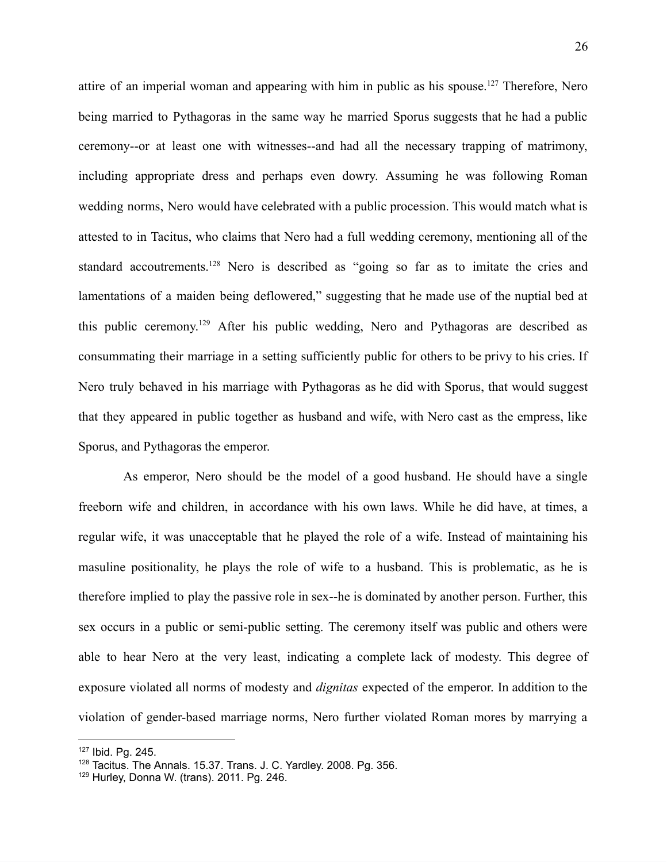attire of an imperial woman and appearing with him in public as his spouse.<sup>127</sup> Therefore, Nero being married to Pythagoras in the same way he married Sporus suggests that he had a public ceremony--or at least one with witnesses--and had all the necessary trapping of matrimony, including appropriate dress and perhaps even dowry. Assuming he was following Roman wedding norms, Nero would have celebrated with a public procession. This would match what is attested to in Tacitus, who claims that Nero had a full wedding ceremony, mentioning all of the standard accoutrements.<sup>128</sup> Nero is described as "going so far as to imitate the cries and lamentations of a maiden being deflowered," suggesting that he made use of the nuptial bed at this public ceremony.<sup>129</sup> After his public wedding, Nero and Pythagoras are described as consummating their marriage in a setting sufficiently public for others to be privy to his cries. If Nero truly behaved in his marriage with Pythagoras as he did with Sporus, that would suggest that they appeared in public together as husband and wife, with Nero cast as the empress, like Sporus, and Pythagoras the emperor.

As emperor, Nero should be the model of a good husband. He should have a single freeborn wife and children, in accordance with his own laws. While he did have, at times, a regular wife, it was unacceptable that he played the role of a wife. Instead of maintaining his masuline positionality, he plays the role of wife to a husband. This is problematic, as he is therefore implied to play the passive role in sex--he is dominated by another person. Further, this sex occurs in a public or semi-public setting. The ceremony itself was public and others were able to hear Nero at the very least, indicating a complete lack of modesty. This degree of exposure violated all norms of modesty and *dignitas* expected of the emperor. In addition to the violation of gender-based marriage norms, Nero further violated Roman mores by marrying a

<sup>127</sup> Ibid. Pg. 245.

<sup>&</sup>lt;sup>128</sup> Tacitus. The Annals. 15.37. Trans. J. C. Yardley. 2008. Pg. 356.

 $129$  Hurley, Donna W. (trans). 2011. Pg. 246.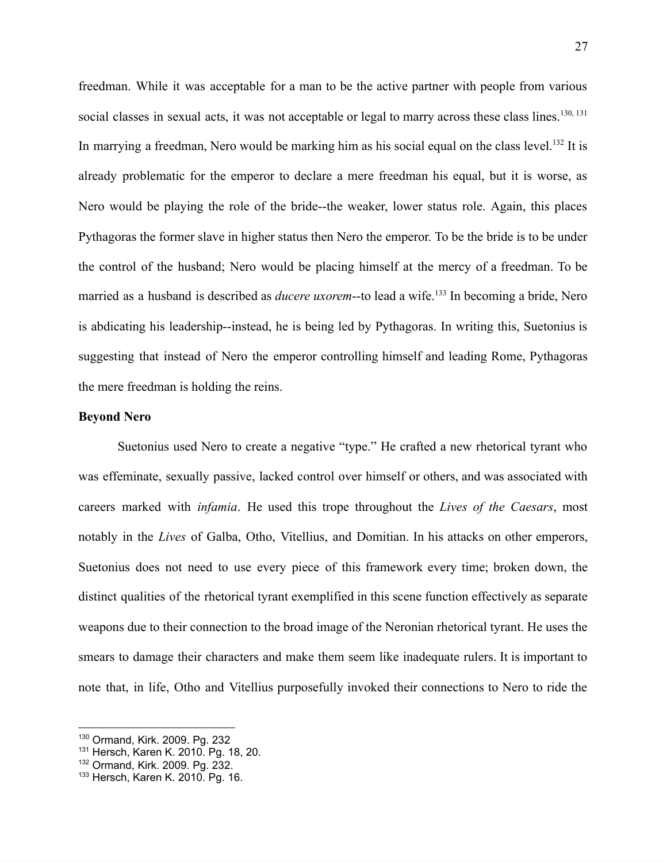freedman. While it was acceptable for a man to be the active partner with people from various social classes in sexual acts, it was not acceptable or legal to marry across these class lines.<sup>130, 131</sup> In marrying a freedman, Nero would be marking him as his social equal on the class level.<sup>132</sup> It is already problematic for the emperor to declare a mere freedman his equal, but it is worse, as Nero would be playing the role of the bride--the weaker, lower status role. Again, this places Pythagoras the former slave in higher status then Nero the emperor. To be the bride is to be under the control of the husband; Nero would be placing himself at the mercy of a freedman. To be married as a husband is described as *ducere uxorem*--to lead a wife.<sup>133</sup> In becoming a bride, Nero is abdicating his leadership--instead, he is being led by Pythagoras. In writing this, Suetonius is suggesting that instead of Nero the emperor controlling himself and leading Rome, Pythagoras the mere freedman is holding the reins.

#### **Beyond Nero**

Suetonius used Nero to create a negative "type." He crafted a new rhetorical tyrant who was effeminate, sexually passive, lacked control over himself or others, and was associated with careers marked with *infamia*. He used this trope throughout the *Lives of the Caesars*, most notably in the *Lives* of Galba, Otho, Vitellius, and Domitian. In his attacks on other emperors, Suetonius does not need to use every piece of this framework every time; broken down, the distinct qualities of the rhetorical tyrant exemplified in this scene function effectively as separate weapons due to their connection to the broad image of the Neronian rhetorical tyrant. He uses the smears to damage their characters and make them seem like inadequate rulers. It is important to note that, in life, Otho and Vitellius purposefully invoked their connections to Nero to ride the

<sup>130</sup> Ormand, Kirk. 2009. Pg. 232

<sup>131</sup> Hersch, Karen K. 2010. Pg. 18, 20.

<sup>132</sup> Ormand, Kirk. 2009. Pg. 232.

<sup>133</sup> Hersch, Karen K. 2010. Pg. 16.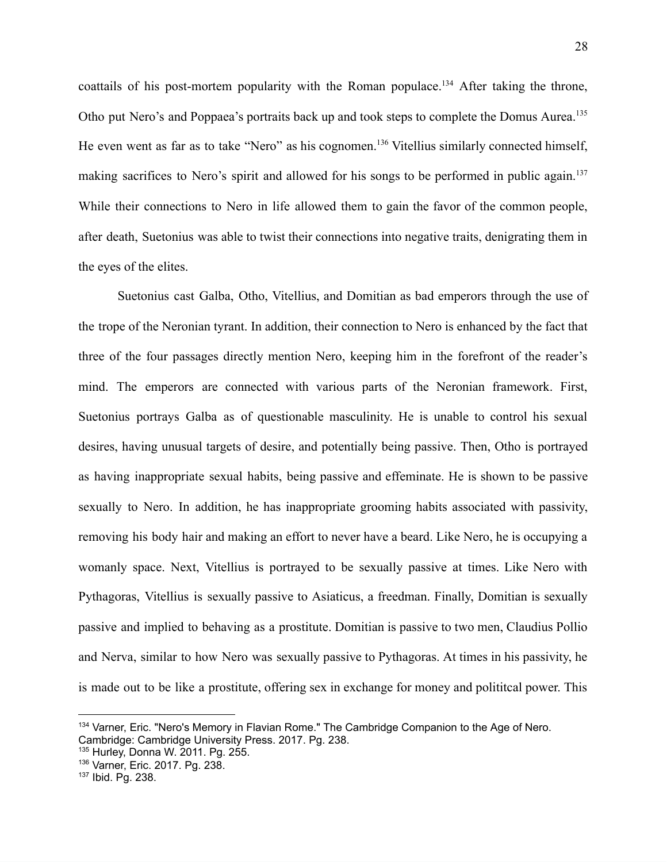coattails of his post-mortem popularity with the Roman populace.<sup>134</sup> After taking the throne, Otho put Nero's and Poppaea's portraits back up and took steps to complete the Domus Aurea.<sup>135</sup> He even went as far as to take "Nero" as his cognomen.<sup>136</sup> Vitellius similarly connected himself, making sacrifices to Nero's spirit and allowed for his songs to be performed in public again.<sup>137</sup> While their connections to Nero in life allowed them to gain the favor of the common people, after death, Suetonius was able to twist their connections into negative traits, denigrating them in the eyes of the elites.

Suetonius cast Galba, Otho, Vitellius, and Domitian as bad emperors through the use of the trope of the Neronian tyrant. In addition, their connection to Nero is enhanced by the fact that three of the four passages directly mention Nero, keeping him in the forefront of the reader's mind. The emperors are connected with various parts of the Neronian framework. First, Suetonius portrays Galba as of questionable masculinity. He is unable to control his sexual desires, having unusual targets of desire, and potentially being passive. Then, Otho is portrayed as having inappropriate sexual habits, being passive and effeminate. He is shown to be passive sexually to Nero. In addition, he has inappropriate grooming habits associated with passivity, removing his body hair and making an effort to never have a beard. Like Nero, he is occupying a womanly space. Next, Vitellius is portrayed to be sexually passive at times. Like Nero with Pythagoras, Vitellius is sexually passive to Asiaticus, a freedman. Finally, Domitian is sexually passive and implied to behaving as a prostitute. Domitian is passive to two men, Claudius Pollio and Nerva, similar to how Nero was sexually passive to Pythagoras. At times in his passivity, he is made out to be like a prostitute, offering sex in exchange for money and polititcal power. This

<sup>134</sup> Varner, Eric. "Nero's Memory in Flavian Rome." The Cambridge Companion to the Age of Nero. Cambridge: Cambridge University Press. 2017. Pg. 238.

<sup>135</sup> Hurley, Donna W. 2011. Pg. 255.

<sup>136</sup> Varner, Eric. 2017. Pg. 238.

<sup>137</sup> Ibid. Pg. 238.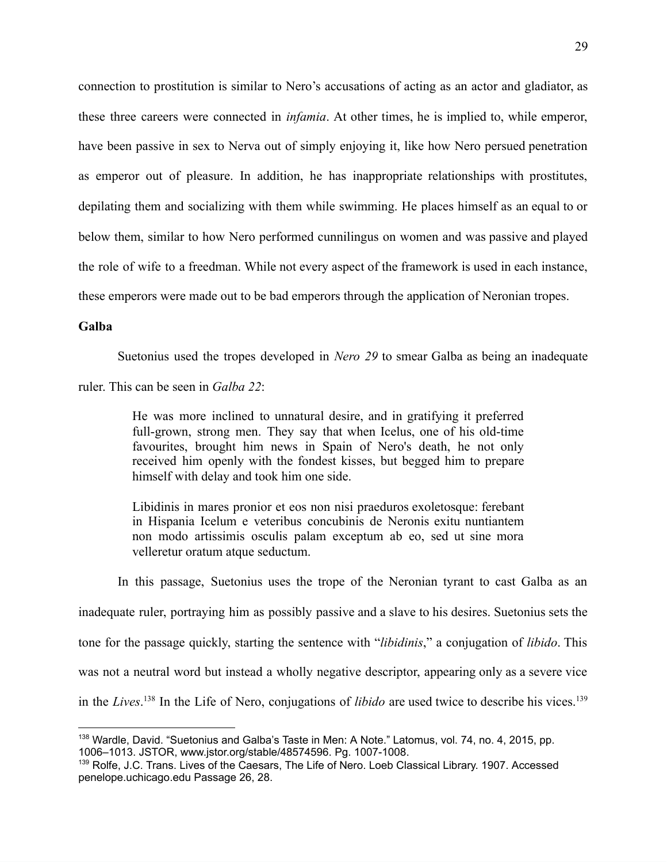connection to prostitution is similar to Nero's accusations of acting as an actor and gladiator, as these three careers were connected in *infamia*. At other times, he is implied to, while emperor, have been passive in sex to Nerva out of simply enjoying it, like how Nero persued penetration as emperor out of pleasure. In addition, he has inappropriate relationships with prostitutes, depilating them and socializing with them while swimming. He places himself as an equal to or below them, similar to how Nero performed cunnilingus on women and was passive and played the role of wife to a freedman. While not every aspect of the framework is used in each instance, these emperors were made out to be bad emperors through the application of Neronian tropes.

## **Galba**

Suetonius used the tropes developed in *Nero 29* to smear Galba as being an inadequate

ruler. This can be seen in *Galba 22*:

He was more inclined to unnatural desire, and in gratifying it preferred full-grown, strong men. They say that when Icelus, one of his old-time favourites, brought him news in Spain of Nero's death, he not only received him openly with the fondest kisses, but begged him to prepare himself with delay and took him one side.

Libidinis in mares pronior et eos non nisi praeduros exoletosque: ferebant in Hispania Icelum e veteribus concubinis de Neronis exitu nuntiantem non modo artissimis osculis palam exceptum ab eo, sed ut sine mora velleretur oratum atque seductum.

In this passage, Suetonius uses the trope of the Neronian tyrant to cast Galba as an inadequate ruler, portraying him as possibly passive and a slave to his desires. Suetonius sets the tone for the passage quickly, starting the sentence with "*libidinis*," a conjugation of *libido*. This was not a neutral word but instead a wholly negative descriptor, appearing only as a severe vice in the *Lives*. <sup>138</sup> In the Life of Nero, conjugations of *libido* are used twice to describe his vices.<sup>139</sup>

<sup>&</sup>lt;sup>138</sup> Wardle, David. "Suetonius and Galba's Taste in Men: A Note." Latomus, vol. 74, no. 4, 2015, pp. 1006–1013. JSTOR, www.jstor.org/stable/48574596. Pg. 1007-1008.

<sup>139</sup> Rolfe, J.C. Trans. Lives of the Caesars, The Life of Nero. Loeb Classical Library. 1907. Accessed penelope.uchicago.edu Passage 26, 28.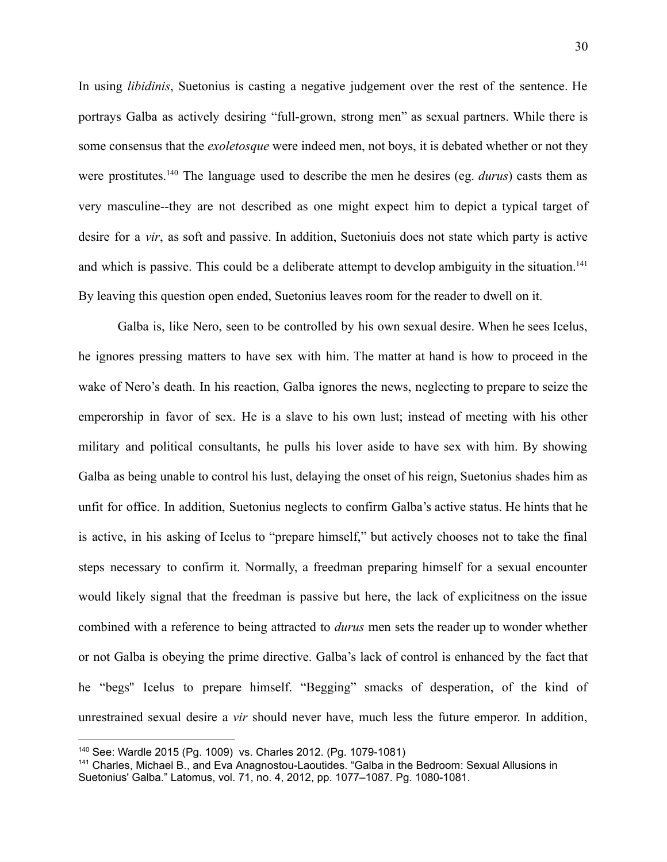In using *libidinis*, Suetonius is casting a negative judgement over the rest of the sentence. He portrays Galba as actively desiring "full-grown, strong men" as sexual partners. While there is some consensus that the *exoletosque* were indeed men, not boys, it is debated whether or not they were prostitutes.<sup>140</sup> The language used to describe the men he desires (eg. *durus*) casts them as very masculine--they are not described as one might expect him to depict a typical target of desire for a *vir*, as soft and passive. In addition, Suetoniuis does not state which party is active and which is passive. This could be a deliberate attempt to develop ambiguity in the situation.<sup>141</sup> By leaving this question open ended, Suetonius leaves room for the reader to dwell on it.

Galba is, like Nero, seen to be controlled by his own sexual desire. When he sees Icelus, he ignores pressing matters to have sex with him. The matter at hand is how to proceed in the wake of Nero's death. In his reaction, Galba ignores the news, neglecting to prepare to seize the emperorship in favor of sex. He is a slave to his own lust; instead of meeting with his other military and political consultants, he pulls his lover aside to have sex with him. By showing Galba as being unable to control his lust, delaying the onset of his reign, Suetonius shades him as unfit for office. In addition, Suetonius neglects to confirm Galba's active status. He hints that he is active, in his asking of Icelus to "prepare himself," but actively chooses not to take the final steps necessary to confirm it. Normally, a freedman preparing himself for a sexual encounter would likely signal that the freedman is passive but here, the lack of explicitness on the issue combined with a reference to being attracted to *durus* men sets the reader up to wonder whether or not Galba is obeying the prime directive. Galba's lack of control is enhanced by the fact that he "begs'' Icelus to prepare himself. "Begging" smacks of desperation, of the kind of unrestrained sexual desire a *vir* should never have, much less the future emperor. In addition,

<sup>140</sup> See: Wardle 2015 (Pg. 1009) vs. Charles 2012. (Pg. 1079-1081)

<sup>141</sup> Charles, Michael B., and Eva Anagnostou-Laoutides. "Galba in the Bedroom: Sexual Allusions in Suetonius' Galba." Latomus, vol. 71, no. 4, 2012, pp. 1077–1087. Pg. 1080-1081.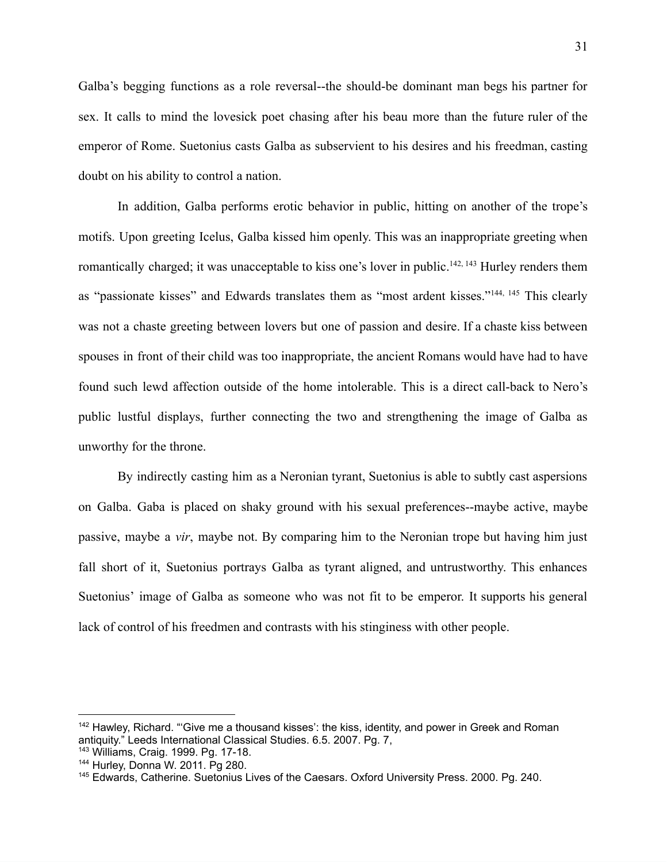Galba's begging functions as a role reversal--the should-be dominant man begs his partner for sex. It calls to mind the lovesick poet chasing after his beau more than the future ruler of the emperor of Rome. Suetonius casts Galba as subservient to his desires and his freedman, casting doubt on his ability to control a nation.

In addition, Galba performs erotic behavior in public, hitting on another of the trope's motifs. Upon greeting Icelus, Galba kissed him openly. This was an inappropriate greeting when romantically charged; it was unacceptable to kiss one's lover in public.<sup>142, 143</sup> Hurley renders them as "passionate kisses" and Edwards translates them as "most ardent kisses."144, <sup>145</sup> This clearly was not a chaste greeting between lovers but one of passion and desire. If a chaste kiss between spouses in front of their child was too inappropriate, the ancient Romans would have had to have found such lewd affection outside of the home intolerable. This is a direct call-back to Nero's public lustful displays, further connecting the two and strengthening the image of Galba as unworthy for the throne.

By indirectly casting him as a Neronian tyrant, Suetonius is able to subtly cast aspersions on Galba. Gaba is placed on shaky ground with his sexual preferences--maybe active, maybe passive, maybe a *vir*, maybe not. By comparing him to the Neronian trope but having him just fall short of it, Suetonius portrays Galba as tyrant aligned, and untrustworthy. This enhances Suetonius' image of Galba as someone who was not fit to be emperor. It supports his general lack of control of his freedmen and contrasts with his stinginess with other people.

<sup>&</sup>lt;sup>142</sup> Hawley, Richard. "'Give me a thousand kisses': the kiss, identity, and power in Greek and Roman antiquity." Leeds International Classical Studies. 6.5. 2007. Pg. 7,

<sup>143</sup> Williams, Craig. 1999. Pg. 17-18.

<sup>144</sup> Hurley, Donna W. 2011. Pg 280.

<sup>145</sup> Edwards, Catherine. Suetonius Lives of the Caesars. Oxford University Press. 2000. Pg. 240.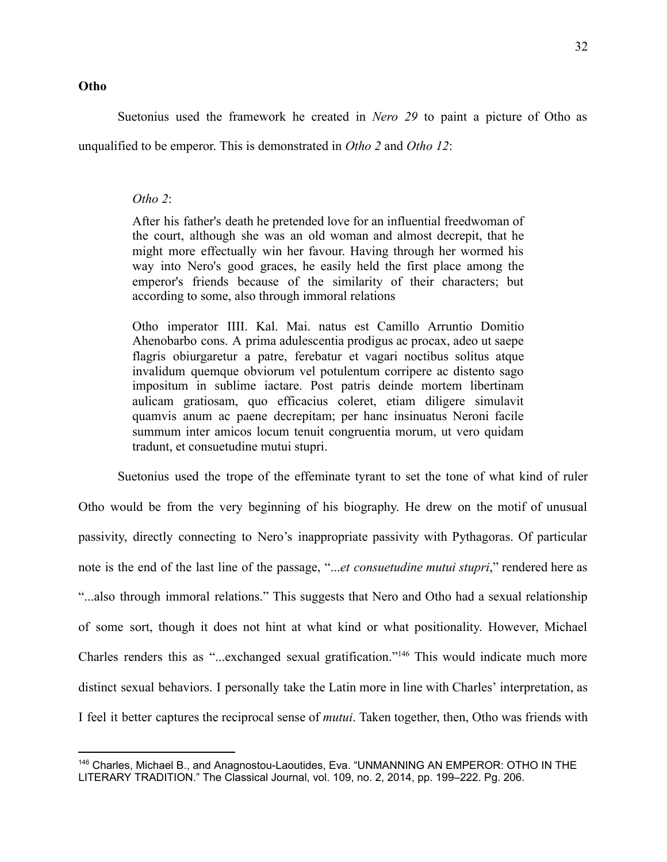#### **Otho**

Suetonius used the framework he created in *Nero 29* to paint a picture of Otho as

unqualified to be emperor. This is demonstrated in *Otho 2* and *Otho 12*:

#### *Otho 2*:

After his father's death he pretended love for an influential freedwoman of the court, although she was an old woman and almost decrepit, that he might more effectually win her favour. Having through her wormed his way into Nero's good graces, he easily held the first place among the emperor's friends because of the similarity of their characters; but according to some, also through immoral relations

Otho imperator IIII. Kal. Mai. natus est Camillo Arruntio Domitio Ahenobarbo cons. A prima adulescentia prodigus ac procax, adeo ut saepe flagris obiurgaretur a patre, ferebatur et vagari noctibus solitus atque invalidum quemque obviorum vel potulentum corripere ac distento sago impositum in sublime iactare. Post patris deinde mortem libertinam aulicam gratiosam, quo efficacius coleret, etiam diligere simulavit quamvis anum ac paene decrepitam; per hanc insinuatus Neroni facile summum inter amicos locum tenuit congruentia morum, ut vero quidam tradunt, et consuetudine mutui stupri.

Suetonius used the trope of the effeminate tyrant to set the tone of what kind of ruler Otho would be from the very beginning of his biography. He drew on the motif of unusual passivity, directly connecting to Nero's inappropriate passivity with Pythagoras. Of particular note is the end of the last line of the passage, "...*et consuetudine mutui stupri*," rendered here as "...also through immoral relations." This suggests that Nero and Otho had a sexual relationship of some sort, though it does not hint at what kind or what positionality. However, Michael Charles renders this as "...exchanged sexual gratification."<sup>146</sup> This would indicate much more distinct sexual behaviors. I personally take the Latin more in line with Charles' interpretation, as I feel it better captures the reciprocal sense of *mutui*. Taken together, then, Otho was friends with

<sup>146</sup> Charles, Michael B., and Anagnostou-Laoutides, Eva. "UNMANNING AN EMPEROR: OTHO IN THE LITERARY TRADITION." The Classical Journal, vol. 109, no. 2, 2014, pp. 199–222. Pg. 206.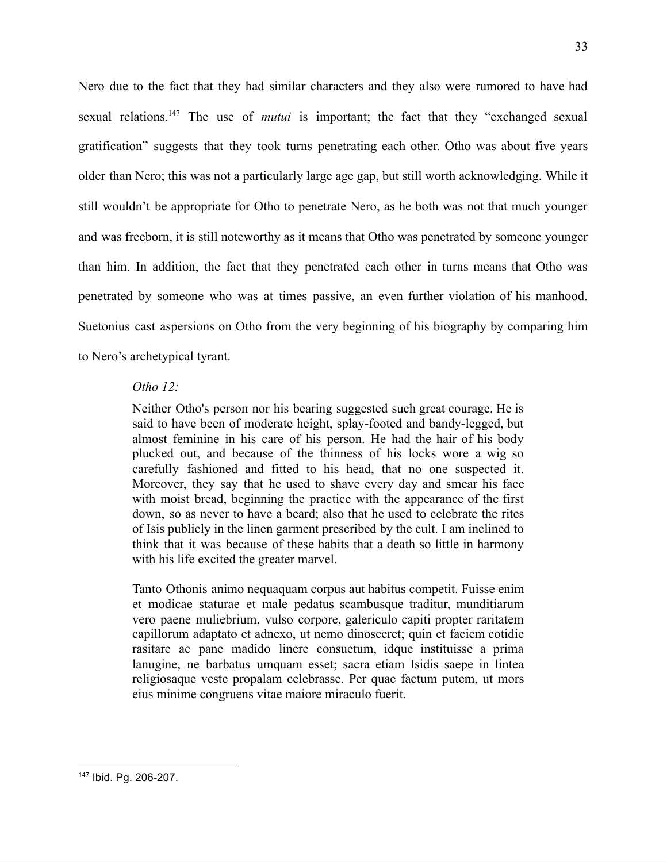Nero due to the fact that they had similar characters and they also were rumored to have had sexual relations.<sup>147</sup> The use of *mutui* is important; the fact that they "exchanged sexual gratification" suggests that they took turns penetrating each other. Otho was about five years older than Nero; this was not a particularly large age gap, but still worth acknowledging. While it still wouldn't be appropriate for Otho to penetrate Nero, as he both was not that much younger and was freeborn, it is still noteworthy as it means that Otho was penetrated by someone younger than him. In addition, the fact that they penetrated each other in turns means that Otho was penetrated by someone who was at times passive, an even further violation of his manhood. Suetonius cast aspersions on Otho from the very beginning of his biography by comparing him to Nero's archetypical tyrant.

#### *Otho 12:*

Neither Otho's person nor his bearing suggested such great courage. He is said to have been of moderate height, splay-footed and bandy-legged, but almost feminine in his care of his person. He had the hair of his body plucked out, and because of the thinness of his locks wore a wig so carefully fashioned and fitted to his head, that no one suspected it. Moreover, they say that he used to shave every day and smear his face with moist bread, beginning the practice with the appearance of the first down, so as never to have a beard; also that he used to celebrate the rites of Isis publicly in the linen garment prescribed by the cult. I am inclined to think that it was because of these habits that a death so little in harmony with his life excited the greater marvel.

Tanto Othonis animo nequaquam corpus aut habitus competit. Fuisse enim et modicae staturae et male pedatus scambusque traditur, munditiarum vero paene muliebrium, vulso corpore, galericulo capiti propter raritatem capillorum adaptato et adnexo, ut nemo dinosceret; quin et faciem cotidie rasitare ac pane madido linere consuetum, idque instituisse a prima lanugine, ne barbatus umquam esset; sacra etiam Isidis saepe in lintea religiosaque veste propalam celebrasse. Per quae factum putem, ut mors eius minime congruens vitae maiore miraculo fuerit.

<sup>147</sup> Ibid. Pg. 206-207.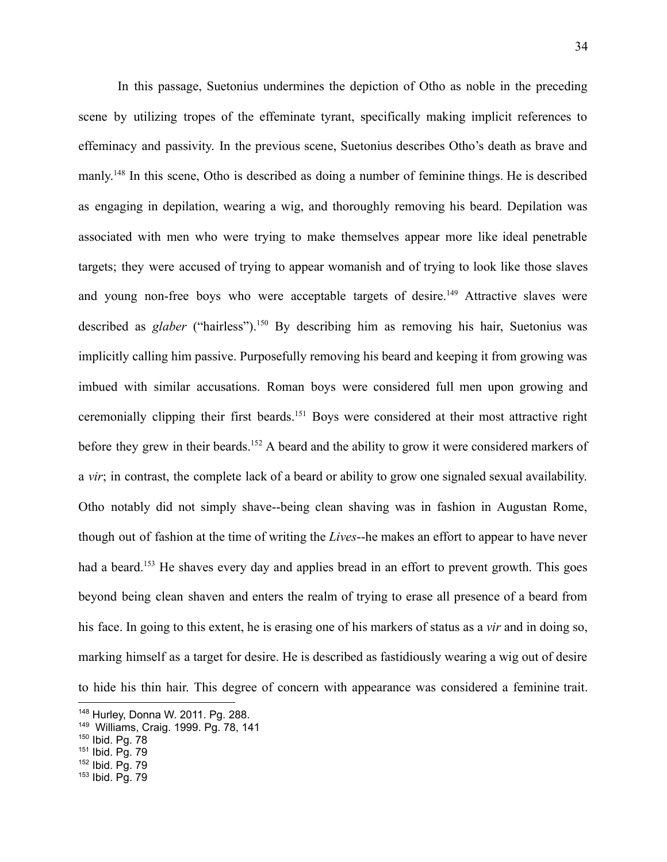In this passage, Suetonius undermines the depiction of Otho as noble in the preceding scene by utilizing tropes of the effeminate tyrant, specifically making implicit references to effeminacy and passivity. In the previous scene, Suetonius describes Otho's death as brave and manly.<sup>148</sup> In this scene, Otho is described as doing a number of feminine things. He is described as engaging in depilation, wearing a wig, and thoroughly removing his beard. Depilation was associated with men who were trying to make themselves appear more like ideal penetrable targets; they were accused of trying to appear womanish and of trying to look like those slaves and young non-free boys who were acceptable targets of desire.<sup>149</sup> Attractive slaves were described as *glaber* ("hairless").<sup>150</sup> By describing him as removing his hair, Suetonius was implicitly calling him passive. Purposefully removing his beard and keeping it from growing was imbued with similar accusations. Roman boys were considered full men upon growing and ceremonially clipping their first beards.<sup>151</sup> Boys were considered at their most attractive right before they grew in their beards.<sup>152</sup> A beard and the ability to grow it were considered markers of a *vir*; in contrast, the complete lack of a beard or ability to grow one signaled sexual availability. Otho notably did not simply shave--being clean shaving was in fashion in Augustan Rome, though out of fashion at the time of writing the *Lives*--he makes an effort to appear to have never had a beard.<sup>153</sup> He shaves every day and applies bread in an effort to prevent growth. This goes beyond being clean shaven and enters the realm of trying to erase all presence of a beard from his face. In going to this extent, he is erasing one of his markers of status as a *vir* and in doing so, marking himself as a target for desire. He is described as fastidiously wearing a wig out of desire to hide his thin hair. This degree of concern with appearance was considered a feminine trait.

<sup>148</sup> Hurley, Donna W. 2011. Pg. 288.

<sup>149</sup> Williams, Craig. 1999. Pg. 78, 141

<sup>150</sup> Ibid. Pg. 78

<sup>151</sup> Ibid. Pg. 79

<sup>152</sup> Ibid. Pg. 79

<sup>153</sup> Ibid. Pg. 79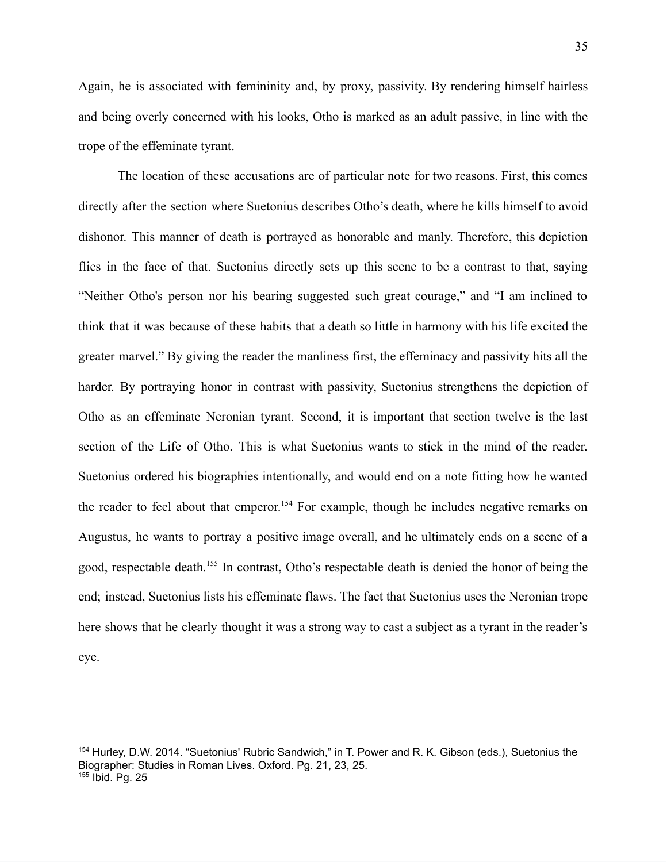Again, he is associated with femininity and, by proxy, passivity. By rendering himself hairless and being overly concerned with his looks, Otho is marked as an adult passive, in line with the trope of the effeminate tyrant.

The location of these accusations are of particular note for two reasons. First, this comes directly after the section where Suetonius describes Otho's death, where he kills himself to avoid dishonor. This manner of death is portrayed as honorable and manly. Therefore, this depiction flies in the face of that. Suetonius directly sets up this scene to be a contrast to that, saying "Neither Otho's person nor his bearing suggested such great courage," and "I am inclined to think that it was because of these habits that a death so little in harmony with his life excited the greater marvel." By giving the reader the manliness first, the effeminacy and passivity hits all the harder. By portraying honor in contrast with passivity, Suetonius strengthens the depiction of Otho as an effeminate Neronian tyrant. Second, it is important that section twelve is the last section of the Life of Otho. This is what Suetonius wants to stick in the mind of the reader. Suetonius ordered his biographies intentionally, and would end on a note fitting how he wanted the reader to feel about that emperor.<sup>154</sup> For example, though he includes negative remarks on Augustus, he wants to portray a positive image overall, and he ultimately ends on a scene of a good, respectable death.<sup>155</sup> In contrast, Otho's respectable death is denied the honor of being the end; instead, Suetonius lists his effeminate flaws. The fact that Suetonius uses the Neronian trope here shows that he clearly thought it was a strong way to cast a subject as a tyrant in the reader's eye.

<sup>154</sup> Hurley, D.W. 2014. "Suetonius' Rubric Sandwich," in T. Power and R. K. Gibson (eds.), Suetonius the Biographer: Studies in Roman Lives. Oxford. Pg. 21, 23, 25. <sup>155</sup> Ibid. Pg. 25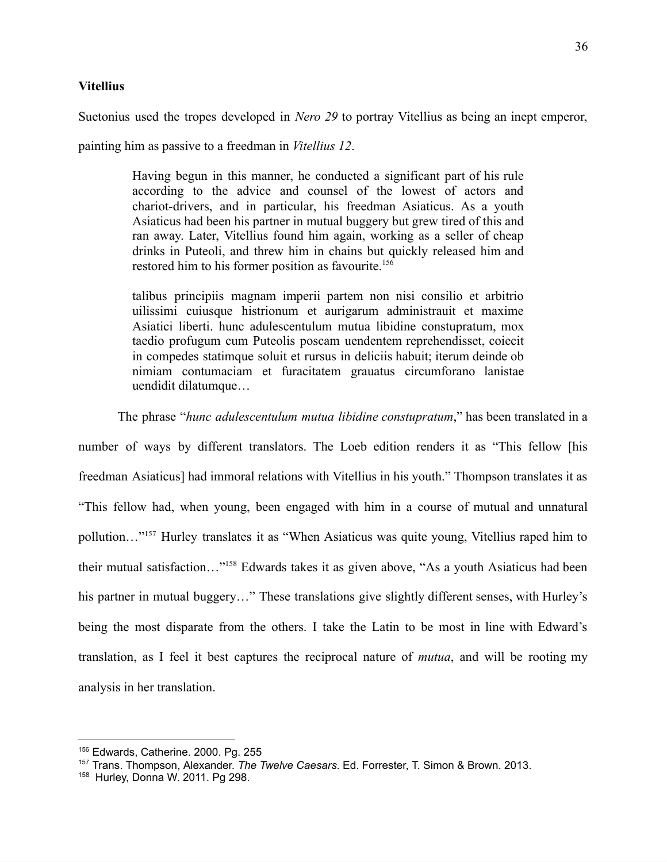Suetonius used the tropes developed in *Nero 29* to portray Vitellius as being an inept emperor,

painting him as passive to a freedman in *Vitellius 12*.

Having begun in this manner, he conducted a significant part of his rule according to the advice and counsel of the lowest of actors and chariot-drivers, and in particular, his freedman Asiaticus. As a youth Asiaticus had been his partner in mutual buggery but grew tired of this and ran away. Later, Vitellius found him again, working as a seller of cheap drinks in Puteoli, and threw him in chains but quickly released him and restored him to his former position as favourite.<sup>156</sup>

talibus principiis magnam imperii partem non nisi consilio et arbitrio uilissimi cuiusque histrionum et aurigarum administrauit et maxime Asiatici liberti. hunc adulescentulum mutua libidine constupratum, mox taedio profugum cum Puteolis poscam uendentem reprehendisset, coiecit in compedes statimque soluit et rursus in deliciis habuit; iterum deinde ob nimiam contumaciam et furacitatem grauatus circumforano lanistae uendidit dilatumque…

The phrase "*hunc adulescentulum mutua libidine constupratum*," has been translated in a

number of ways by different translators. The Loeb edition renders it as "This fellow [his freedman Asiaticus] had immoral relations with Vitellius in his youth." Thompson translates it as "This fellow had, when young, been engaged with him in a course of mutual and unnatural pollution…"<sup>157</sup> Hurley translates it as "When Asiaticus was quite young, Vitellius raped him to their mutual satisfaction…"<sup>158</sup> Edwards takes it as given above, "As a youth Asiaticus had been his partner in mutual buggery..." These translations give slightly different senses, with Hurley's being the most disparate from the others. I take the Latin to be most in line with Edward's translation, as I feel it best captures the reciprocal nature of *mutua*, and will be rooting my analysis in her translation.

<sup>156</sup> Edwards, Catherine. 2000. Pg. 255

<sup>157</sup> Trans. Thompson, Alexander. *The Twelve Caesars*. Ed. Forrester, T. Simon & Brown. 2013.

<sup>158</sup> Hurley, Donna W. 2011. Pg 298.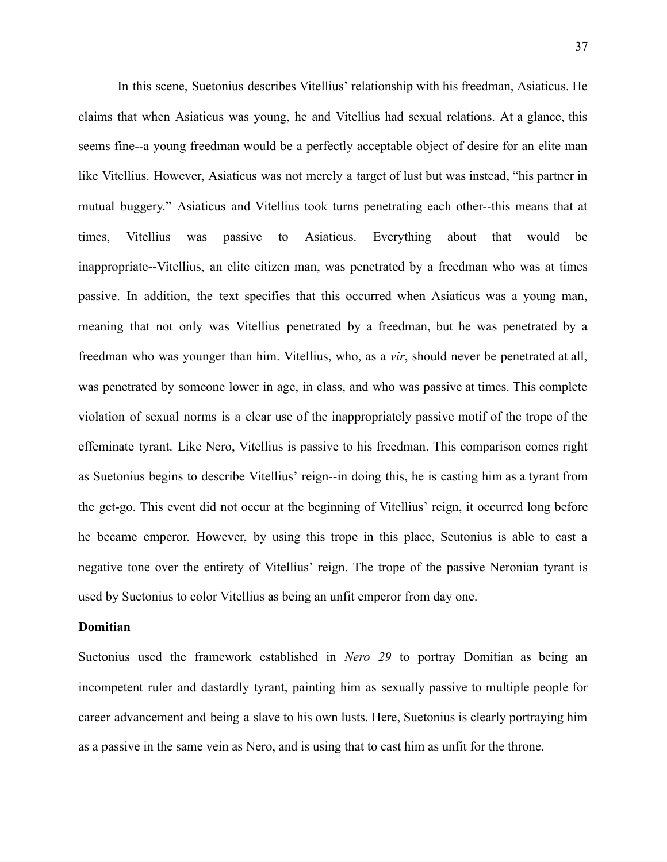In this scene, Suetonius describes Vitellius' relationship with his freedman, Asiaticus. He claims that when Asiaticus was young, he and Vitellius had sexual relations. At a glance, this seems fine--a young freedman would be a perfectly acceptable object of desire for an elite man like Vitellius. However, Asiaticus was not merely a target of lust but was instead, "his partner in mutual buggery." Asiaticus and Vitellius took turns penetrating each other--this means that at times, Vitellius was passive to Asiaticus. Everything about that would be inappropriate--Vitellius, an elite citizen man, was penetrated by a freedman who was at times passive. In addition, the text specifies that this occurred when Asiaticus was a young man, meaning that not only was Vitellius penetrated by a freedman, but he was penetrated by a freedman who was younger than him. Vitellius, who, as a *vir*, should never be penetrated at all, was penetrated by someone lower in age, in class, and who was passive at times. This complete violation of sexual norms is a clear use of the inappropriately passive motif of the trope of the effeminate tyrant. Like Nero, Vitellius is passive to his freedman. This comparison comes right as Suetonius begins to describe Vitellius' reign--in doing this, he is casting him as a tyrant from the get-go. This event did not occur at the beginning of Vitellius' reign, it occurred long before he became emperor. However, by using this trope in this place, Seutonius is able to cast a negative tone over the entirety of Vitellius' reign. The trope of the passive Neronian tyrant is used by Suetonius to color Vitellius as being an unfit emperor from day one.

#### **Domitian**

Suetonius used the framework established in *Nero 29* to portray Domitian as being an incompetent ruler and dastardly tyrant, painting him as sexually passive to multiple people for career advancement and being a slave to his own lusts. Here, Suetonius is clearly portraying him as a passive in the same vein as Nero, and is using that to cast him as unfit for the throne.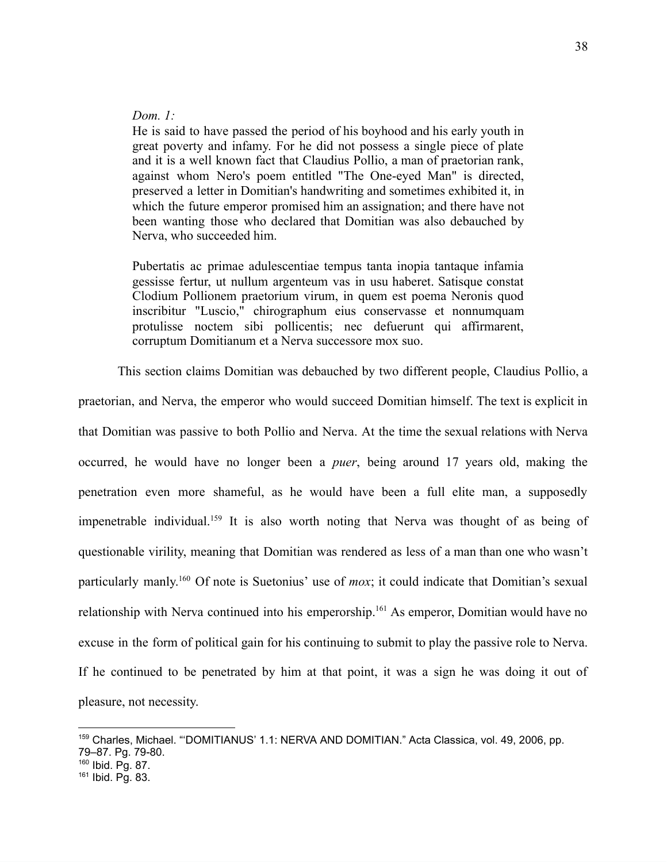# *Dom. 1:*

He is said to have passed the period of his boyhood and his early youth in great poverty and infamy. For he did not possess a single piece of plate and it is a well known fact that Claudius Pollio, a man of praetorian rank, against whom Nero's poem entitled "The One-eyed Man" is directed, preserved a letter in Domitian's handwriting and sometimes exhibited it, in which the future emperor promised him an assignation; and there have not been wanting those who declared that Domitian was also debauched by Nerva, who succeeded him.

Pubertatis ac primae adulescentiae tempus tanta inopia tantaque infamia gessisse fertur, ut nullum argenteum vas in usu haberet. Satisque constat Clodium Pollionem praetorium virum, in quem est poema Neronis quod inscribitur "Luscio," chirographum eius conservasse et nonnumquam protulisse noctem sibi pollicentis; nec defuerunt qui affirmarent, corruptum Domitianum et a Nerva successore mox suo.

This section claims Domitian was debauched by two different people, Claudius Pollio, a

praetorian, and Nerva, the emperor who would succeed Domitian himself. The text is explicit in that Domitian was passive to both Pollio and Nerva. At the time the sexual relations with Nerva occurred, he would have no longer been a *puer*, being around 17 years old, making the penetration even more shameful, as he would have been a full elite man, a supposedly impenetrable individual.<sup>159</sup> It is also worth noting that Nerva was thought of as being of questionable virility, meaning that Domitian was rendered as less of a man than one who wasn't particularly manly.<sup>160</sup> Of note is Suetonius' use of *mox*; it could indicate that Domitian's sexual relationship with Nerva continued into his emperorship.<sup>161</sup> As emperor, Domitian would have no excuse in the form of political gain for his continuing to submit to play the passive role to Nerva. If he continued to be penetrated by him at that point, it was a sign he was doing it out of pleasure, not necessity.

<sup>159</sup> Charles, Michael. "'DOMITIANUS' 1.1: NERVA AND DOMITIAN." Acta Classica, vol. 49, 2006, pp. 79–87. Pg. 79-80.

<sup>160</sup> Ibid. Pg. 87.

<sup>161</sup> Ibid. Pg. 83.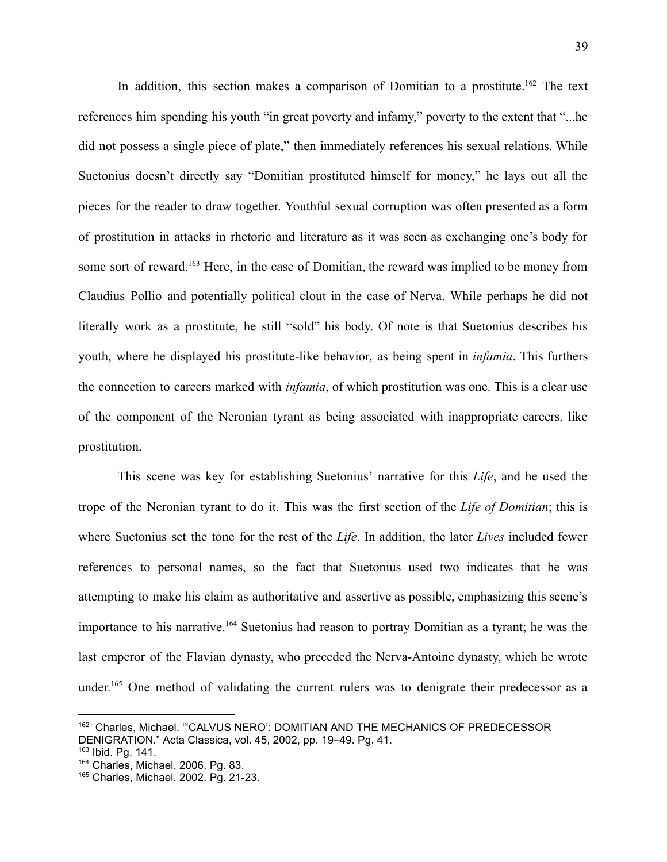In addition, this section makes a comparison of Domitian to a prostitute.<sup>162</sup> The text references him spending his youth "in great poverty and infamy," poverty to the extent that "...he did not possess a single piece of plate," then immediately references his sexual relations. While Suetonius doesn't directly say "Domitian prostituted himself for money," he lays out all the pieces for the reader to draw together. Youthful sexual corruption was often presented as a form of prostitution in attacks in rhetoric and literature as it was seen as exchanging one's body for some sort of reward.<sup>163</sup> Here, in the case of Domitian, the reward was implied to be money from Claudius Pollio and potentially political clout in the case of Nerva. While perhaps he did not literally work as a prostitute, he still "sold" his body. Of note is that Suetonius describes his youth, where he displayed his prostitute-like behavior, as being spent in *infamia*. This furthers the connection to careers marked with *infamia*, of which prostitution was one. This is a clear use of the component of the Neronian tyrant as being associated with inappropriate careers, like prostitution.

This scene was key for establishing Suetonius' narrative for this *Life*, and he used the trope of the Neronian tyrant to do it. This was the first section of the *Life of Domitian*; this is where Suetonius set the tone for the rest of the *Life*. In addition, the later *Lives* included fewer references to personal names, so the fact that Suetonius used two indicates that he was attempting to make his claim as authoritative and assertive as possible, emphasizing this scene's importance to his narrative.<sup>164</sup> Suetonius had reason to portray Domitian as a tyrant; he was the last emperor of the Flavian dynasty, who preceded the Nerva-Antoine dynasty, which he wrote under.<sup>165</sup> One method of validating the current rulers was to denigrate their predecessor as a

<sup>&</sup>lt;sup>162</sup> Charles, Michael. "CALVUS NERO': DOMITIAN AND THE MECHANICS OF PREDECESSOR DENIGRATION." Acta Classica, vol. 45, 2002, pp. 19–49. Pg. 41.

<sup>163</sup> Ibid. Pg. 141.

<sup>164</sup> Charles, Michael. 2006. Pg. 83.

<sup>165</sup> Charles, Michael. 2002. Pg. 21-23.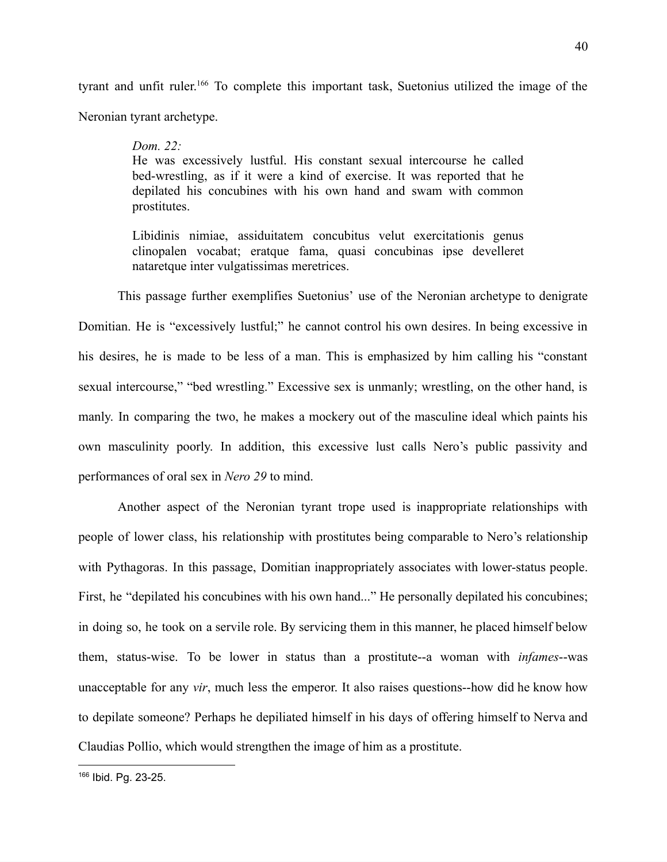tyrant and unfit ruler.<sup>166</sup> To complete this important task, Suetonius utilized the image of the Neronian tyrant archetype.

40

#### *Dom. 22:*

He was excessively lustful. His constant sexual intercourse he called bed-wrestling, as if it were a kind of exercise. It was reported that he depilated his concubines with his own hand and swam with common prostitutes.

Libidinis nimiae, assiduitatem concubitus velut exercitationis genus clinopalen vocabat; eratque fama, quasi concubinas ipse develleret nataretque inter vulgatissimas meretrices.

This passage further exemplifies Suetonius' use of the Neronian archetype to denigrate Domitian. He is "excessively lustful;" he cannot control his own desires. In being excessive in his desires, he is made to be less of a man. This is emphasized by him calling his "constant sexual intercourse," "bed wrestling." Excessive sex is unmanly; wrestling, on the other hand, is manly. In comparing the two, he makes a mockery out of the masculine ideal which paints his own masculinity poorly. In addition, this excessive lust calls Nero's public passivity and performances of oral sex in *Nero 29* to mind.

Another aspect of the Neronian tyrant trope used is inappropriate relationships with people of lower class, his relationship with prostitutes being comparable to Nero's relationship with Pythagoras. In this passage, Domitian inappropriately associates with lower-status people. First, he "depilated his concubines with his own hand..." He personally depilated his concubines; in doing so, he took on a servile role. By servicing them in this manner, he placed himself below them, status-wise. To be lower in status than a prostitute--a woman with *infames*--was unacceptable for any *vir*, much less the emperor. It also raises questions--how did he know how to depilate someone? Perhaps he depiliated himself in his days of offering himself to Nerva and Claudias Pollio, which would strengthen the image of him as a prostitute.

<sup>166</sup> Ibid. Pg. 23-25.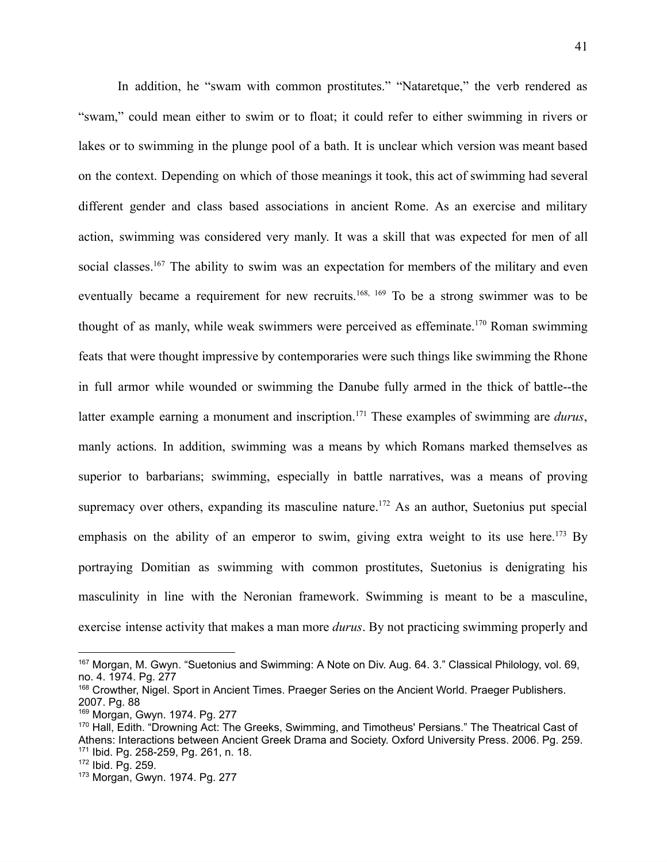In addition, he "swam with common prostitutes." "Nataretque," the verb rendered as "swam," could mean either to swim or to float; it could refer to either swimming in rivers or lakes or to swimming in the plunge pool of a bath. It is unclear which version was meant based on the context. Depending on which of those meanings it took, this act of swimming had several different gender and class based associations in ancient Rome. As an exercise and military action, swimming was considered very manly. It was a skill that was expected for men of all social classes.<sup>167</sup> The ability to swim was an expectation for members of the military and even eventually became a requirement for new recruits.<sup>168, 169</sup> To be a strong swimmer was to be thought of as manly, while weak swimmers were perceived as effeminate.<sup>170</sup> Roman swimming feats that were thought impressive by contemporaries were such things like swimming the Rhone in full armor while wounded or swimming the Danube fully armed in the thick of battle--the latter example earning a monument and inscription.<sup>171</sup> These examples of swimming are *durus*, manly actions. In addition, swimming was a means by which Romans marked themselves as superior to barbarians; swimming, especially in battle narratives, was a means of proving supremacy over others, expanding its masculine nature.<sup>172</sup> As an author, Suetonius put special emphasis on the ability of an emperor to swim, giving extra weight to its use here.<sup>173</sup> By portraying Domitian as swimming with common prostitutes, Suetonius is denigrating his masculinity in line with the Neronian framework. Swimming is meant to be a masculine, exercise intense activity that makes a man more *durus*. By not practicing swimming properly and

<sup>&</sup>lt;sup>167</sup> Morgan, M. Gwyn. "Suetonius and Swimming: A Note on Div. Aug. 64. 3." Classical Philology, vol. 69, no. 4. 1974. Pg. 277

<sup>168</sup> Crowther, Nigel. Sport in Ancient Times. Praeger Series on the Ancient World. Praeger Publishers. 2007. Pg. 88

<sup>169</sup> Morgan, Gwyn. 1974. Pg. 277

<sup>170</sup> Hall, Edith. "Drowning Act: The Greeks, Swimming, and Timotheus' Persians." The Theatrical Cast of Athens: Interactions between Ancient Greek Drama and Society. Oxford University Press. 2006. Pg. 259. <sup>171</sup> Ibid. Pg. 258-259, Pg. 261, n. 18.

<sup>172</sup> Ibid. Pg. 259.

<sup>173</sup> Morgan, Gwyn. 1974. Pg. 277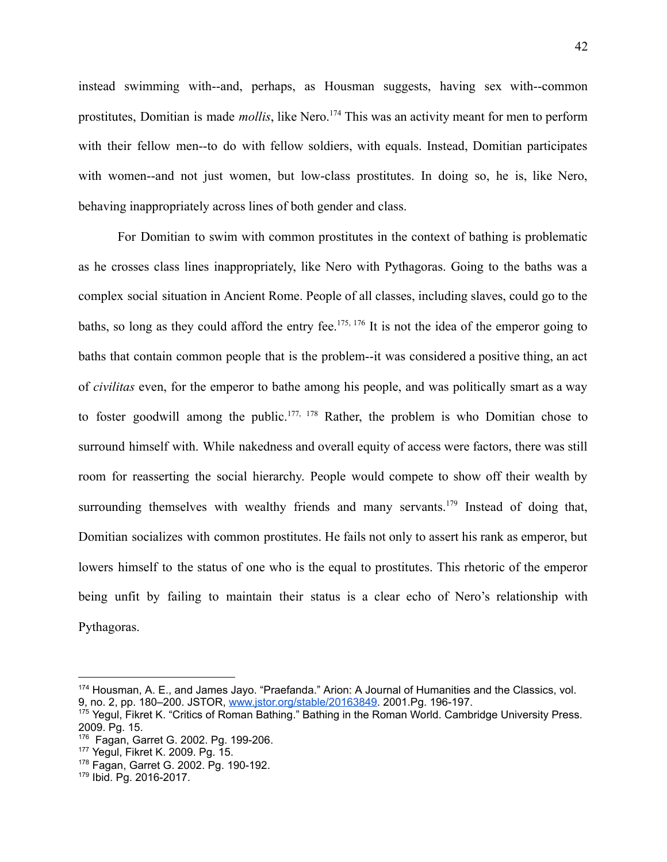instead swimming with--and, perhaps, as Housman suggests, having sex with--common prostitutes, Domitian is made *mollis*, like Nero.<sup>174</sup> This was an activity meant for men to perform with their fellow men--to do with fellow soldiers, with equals. Instead, Domitian participates with women--and not just women, but low-class prostitutes. In doing so, he is, like Nero, behaving inappropriately across lines of both gender and class.

For Domitian to swim with common prostitutes in the context of bathing is problematic as he crosses class lines inappropriately, like Nero with Pythagoras. Going to the baths was a complex social situation in Ancient Rome. People of all classes, including slaves, could go to the baths, so long as they could afford the entry fee.<sup>175, 176</sup> It is not the idea of the emperor going to baths that contain common people that is the problem--it was considered a positive thing, an act of *civilitas* even, for the emperor to bathe among his people, and was politically smart as a way to foster goodwill among the public.<sup>177, 178</sup> Rather, the problem is who Domitian chose to surround himself with. While nakedness and overall equity of access were factors, there was still room for reasserting the social hierarchy. People would compete to show off their wealth by surrounding themselves with wealthy friends and many servants.<sup>179</sup> Instead of doing that, Domitian socializes with common prostitutes. He fails not only to assert his rank as emperor, but lowers himself to the status of one who is the equal to prostitutes. This rhetoric of the emperor being unfit by failing to maintain their status is a clear echo of Nero's relationship with Pythagoras.

<sup>174</sup> Housman, A. E., and James Jayo. "Praefanda." Arion: A Journal of Humanities and the Classics, vol. 9, no. 2, pp. 180–200. JSTOR, [www.jstor.org/stable/20163849](http://www.jstor.org/stable/20163849). 2001.Pg. 196-197.

<sup>175</sup> Yegul, Fikret K. "Critics of Roman Bathing." Bathing in the Roman World. Cambridge University Press. 2009. Pg. 15.

<sup>176</sup> Fagan, Garret G. 2002. Pg. 199-206.

<sup>177</sup> Yegul, Fikret K. 2009. Pg. 15.

<sup>178</sup> Fagan, Garret G. 2002. Pg. 190-192.

<sup>179</sup> Ibid. Pg. 2016-2017.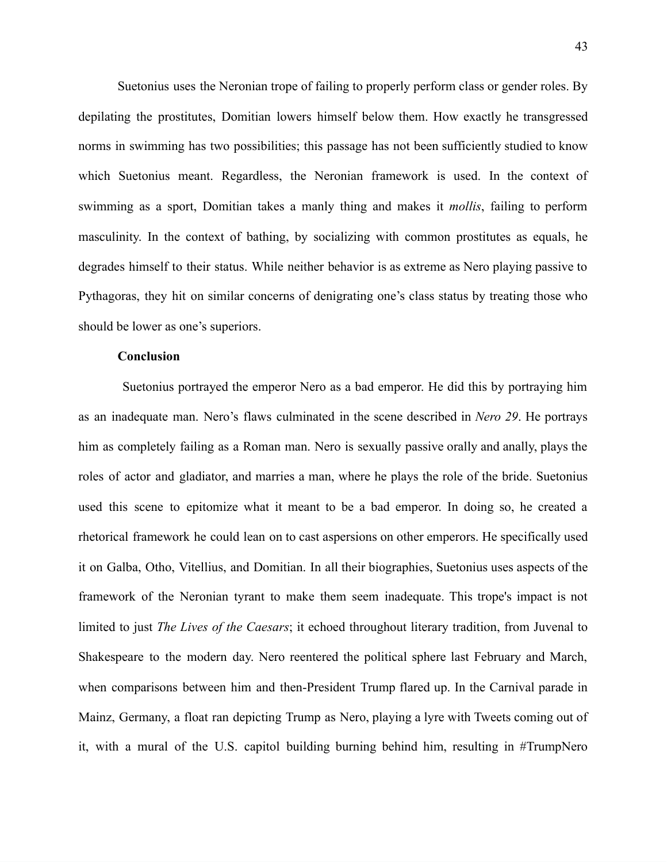Suetonius uses the Neronian trope of failing to properly perform class or gender roles. By depilating the prostitutes, Domitian lowers himself below them. How exactly he transgressed norms in swimming has two possibilities; this passage has not been sufficiently studied to know which Suetonius meant. Regardless, the Neronian framework is used. In the context of swimming as a sport, Domitian takes a manly thing and makes it *mollis*, failing to perform masculinity. In the context of bathing, by socializing with common prostitutes as equals, he degrades himself to their status. While neither behavior is as extreme as Nero playing passive to Pythagoras, they hit on similar concerns of denigrating one's class status by treating those who should be lower as one's superiors.

#### **Conclusion**

Suetonius portrayed the emperor Nero as a bad emperor. He did this by portraying him as an inadequate man. Nero's flaws culminated in the scene described in *Nero 29*. He portrays him as completely failing as a Roman man. Nero is sexually passive orally and anally, plays the roles of actor and gladiator, and marries a man, where he plays the role of the bride. Suetonius used this scene to epitomize what it meant to be a bad emperor. In doing so, he created a rhetorical framework he could lean on to cast aspersions on other emperors. He specifically used it on Galba, Otho, Vitellius, and Domitian. In all their biographies, Suetonius uses aspects of the framework of the Neronian tyrant to make them seem inadequate. This trope's impact is not limited to just *The Lives of the Caesars*; it echoed throughout literary tradition, from Juvenal to Shakespeare to the modern day. Nero reentered the political sphere last February and March, when comparisons between him and then-President Trump flared up. In the Carnival parade in Mainz, Germany, a float ran depicting Trump as Nero, playing a lyre with Tweets coming out of it, with a mural of the U.S. capitol building burning behind him, resulting in #TrumpNero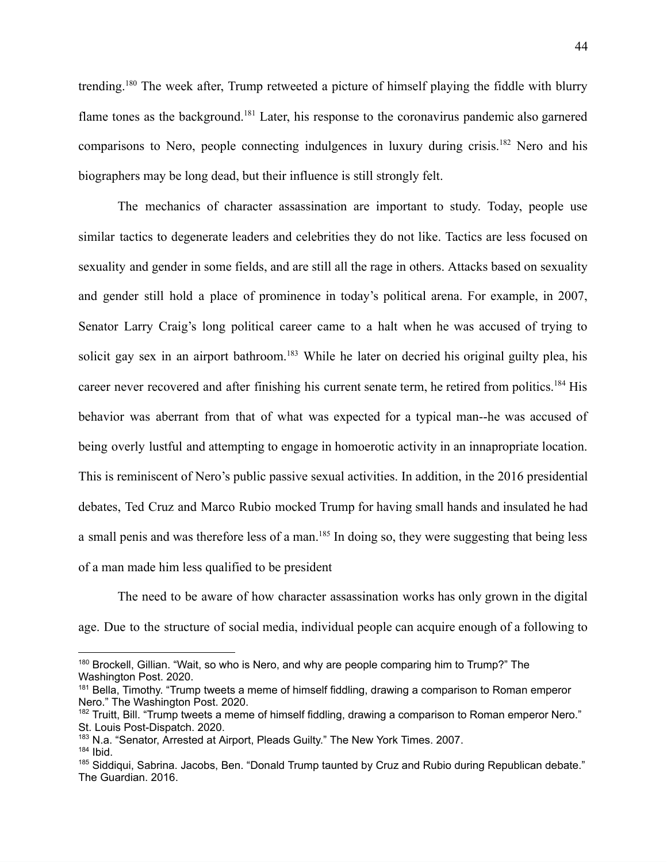trending.<sup>180</sup> The week after, Trump retweeted a picture of himself playing the fiddle with blurry flame tones as the background.<sup>181</sup> Later, his response to the coronavirus pandemic also garnered comparisons to Nero, people connecting indulgences in luxury during crisis.<sup>182</sup> Nero and his biographers may be long dead, but their influence is still strongly felt.

The mechanics of character assassination are important to study. Today, people use similar tactics to degenerate leaders and celebrities they do not like. Tactics are less focused on sexuality and gender in some fields, and are still all the rage in others. Attacks based on sexuality and gender still hold a place of prominence in today's political arena. For example, in 2007, Senator Larry Craig's long political career came to a halt when he was accused of trying to solicit gay sex in an airport bathroom.<sup>183</sup> While he later on decried his original guilty plea, his career never recovered and after finishing his current senate term, he retired from politics.<sup>184</sup> His behavior was aberrant from that of what was expected for a typical man--he was accused of being overly lustful and attempting to engage in homoerotic activity in an innapropriate location. This is reminiscent of Nero's public passive sexual activities. In addition, in the 2016 presidential debates, Ted Cruz and Marco Rubio mocked Trump for having small hands and insulated he had a small penis and was therefore less of a man.<sup>185</sup> In doing so, they were suggesting that being less of a man made him less qualified to be president

The need to be aware of how character assassination works has only grown in the digital age. Due to the structure of social media, individual people can acquire enough of a following to

<sup>180</sup> Brockell, Gillian. "Wait, so who is Nero, and why are people comparing him to Trump?" The Washington Post. 2020.

<sup>&</sup>lt;sup>181</sup> Bella, Timothy. "Trump tweets a meme of himself fiddling, drawing a comparison to Roman emperor Nero." The Washington Post. 2020.

<sup>&</sup>lt;sup>182</sup> Truitt, Bill. "Trump tweets a meme of himself fiddling, drawing a comparison to Roman emperor Nero." St. Louis Post-Dispatch. 2020.

<sup>&</sup>lt;sup>183</sup> N.a. "Senator, Arrested at Airport, Pleads Guilty." The New York Times. 2007.

<sup>184</sup> Ibid.

<sup>&</sup>lt;sup>185</sup> Siddiqui, Sabrina. Jacobs, Ben. "Donald Trump taunted by Cruz and Rubio during Republican debate." The Guardian. 2016.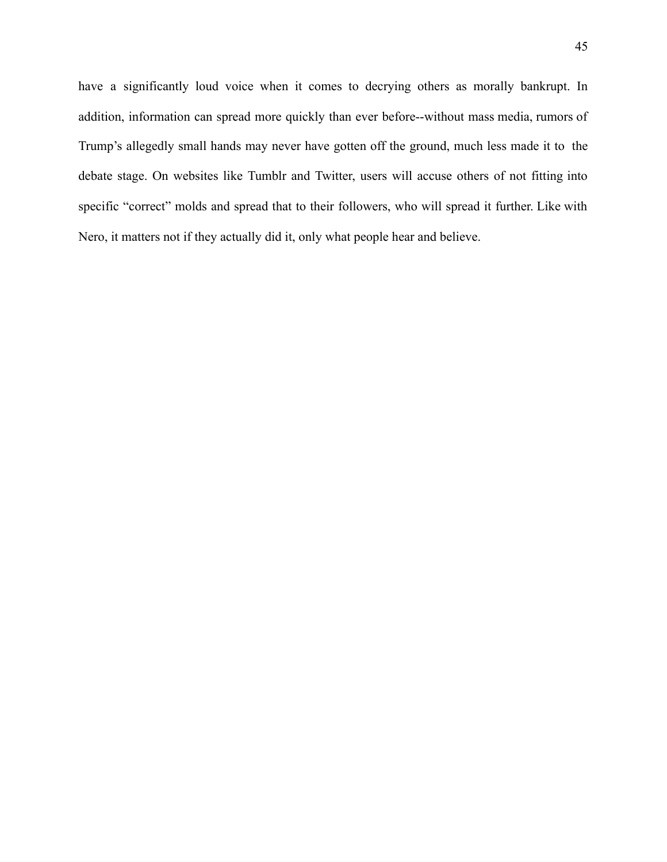have a significantly loud voice when it comes to decrying others as morally bankrupt. In addition, information can spread more quickly than ever before--without mass media, rumors of Trump's allegedly small hands may never have gotten off the ground, much less made it to the debate stage. On websites like Tumblr and Twitter, users will accuse others of not fitting into specific "correct" molds and spread that to their followers, who will spread it further. Like with Nero, it matters not if they actually did it, only what people hear and believe.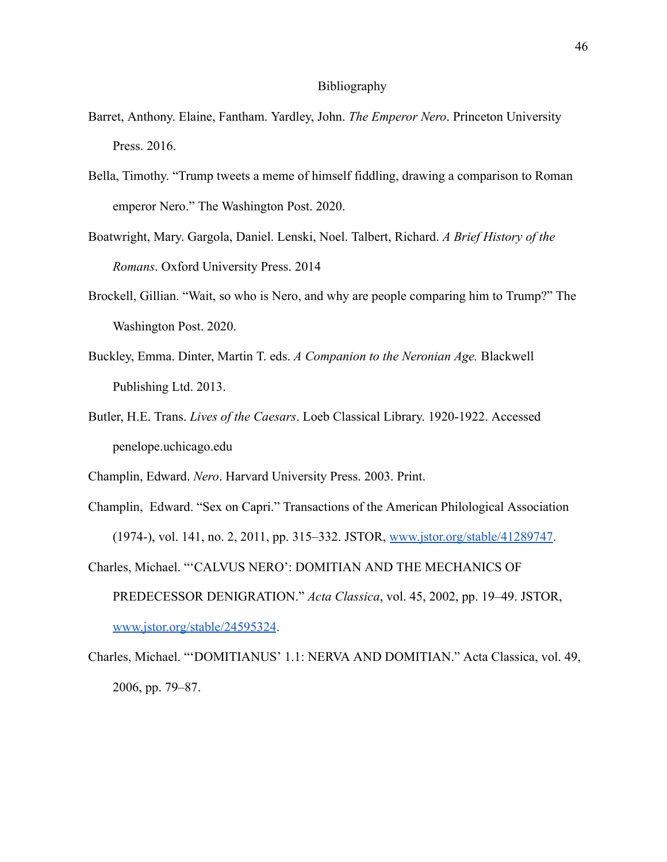#### Bibliography

- Barret, Anthony. Elaine, Fantham. Yardley, John. *The Emperor Nero*. Princeton University Press. 2016.
- Bella, Timothy. "Trump tweets a meme of himself fiddling, drawing a comparison to Roman emperor Nero." The Washington Post. 2020.
- Boatwright, Mary. Gargola, Daniel. Lenski, Noel. Talbert, Richard. *A Brief History of the Romans*. Oxford University Press. 2014
- Brockell, Gillian. "Wait, so who is Nero, and why are people comparing him to Trump?" The Washington Post. 2020.
- Buckley, Emma. Dinter, Martin T. eds. *A Companion to the Neronian Age.* Blackwell Publishing Ltd. 2013.
- Butler, H.E. Trans. *Lives of the Caesars*. Loeb Classical Library. 1920‑1922. Accessed penelope.uchicago.edu
- Champlin, Edward. *Nero*. Harvard University Press. 2003. Print.
- Champlin, Edward. "Sex on Capri." Transactions of the American Philological Association (1974-), vol. 141, no. 2, 2011, pp. 315–332. JSTOR, [www.jstor.org/stable/41289747.](http://www.jstor.org/stable/41289747)
- Charles, Michael. "'CALVUS NERO': DOMITIAN AND THE MECHANICS OF PREDECESSOR DENIGRATION." *Acta Classica*, vol. 45, 2002, pp. 19–49. JSTOR, [www.jstor.org/stable/24595324.](http://www.jstor.org/stable/24595324)
- Charles, Michael. "'DOMITIANUS' 1.1: NERVA AND DOMITIAN." Acta Classica, vol. 49, 2006, pp. 79–87.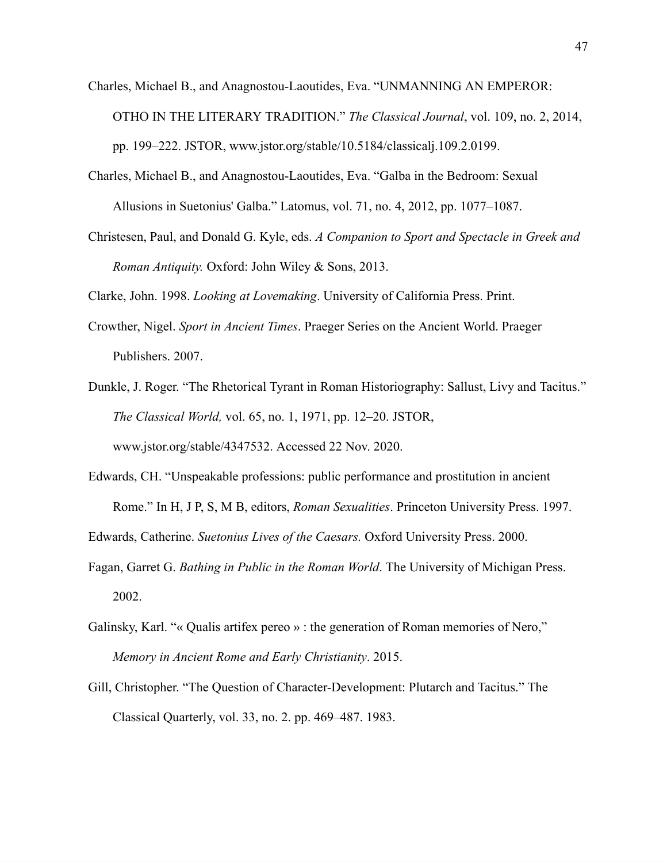- Charles, Michael B., and Anagnostou-Laoutides, Eva. "UNMANNING AN EMPEROR: OTHO IN THE LITERARY TRADITION." *The Classical Journal*, vol. 109, no. 2, 2014, pp. 199–222. JSTOR, www.jstor.org/stable/10.5184/classicalj.109.2.0199.
- Charles, Michael B., and Anagnostou-Laoutides, Eva. "Galba in the Bedroom: Sexual Allusions in Suetonius' Galba." Latomus, vol. 71, no. 4, 2012, pp. 1077–1087.
- Christesen, Paul, and Donald G. Kyle, eds. *A Companion to Sport and Spectacle in Greek and Roman Antiquity.* Oxford: John Wiley & Sons, 2013.

Clarke, John. 1998. *Looking at Lovemaking*. University of California Press. Print.

- Crowther, Nigel. *Sport in Ancient Times*. Praeger Series on the Ancient World. Praeger Publishers. 2007.
- Dunkle, J. Roger. "The Rhetorical Tyrant in Roman Historiography: Sallust, Livy and Tacitus." *The Classical World,* vol. 65, no. 1, 1971, pp. 12–20. JSTOR, www.jstor.org/stable/4347532. Accessed 22 Nov. 2020.
- Edwards, CH. "Unspeakable professions: public performance and prostitution in ancient Rome." In H, J P, S, M B, editors, *Roman Sexualities*. Princeton University Press. 1997.

Edwards, Catherine. *Suetonius Lives of the Caesars.* Oxford University Press. 2000.

- Fagan, Garret G. *Bathing in Public in the Roman World*. The University of Michigan Press. 2002.
- Galinsky, Karl. "« Qualis artifex pereo » : the generation of Roman memories of Nero," *Memory in Ancient Rome and Early Christianity*. 2015.
- Gill, Christopher. "The Question of Character-Development: Plutarch and Tacitus." The Classical Quarterly, vol. 33, no. 2. pp. 469–487. 1983.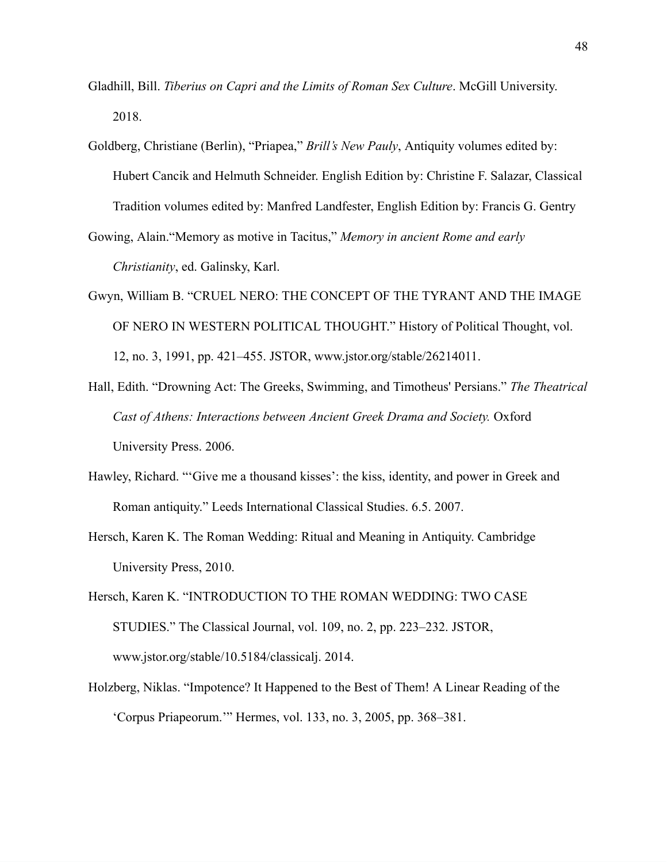- Gladhill, Bill. *Tiberius on Capri and the Limits of Roman Sex Culture*. McGill University. 2018.
- Goldberg, Christiane (Berlin), "Priapea," *Brill's New Pauly*, Antiquity volumes edited by: Hubert Cancik and Helmuth Schneider. English Edition by: Christine F. Salazar, Classical Tradition volumes edited by: Manfred Landfester, English Edition by: Francis G. Gentry
- Gowing, Alain."Memory as motive in Tacitus," *Memory in ancient Rome and early Christianity*, ed. Galinsky, Karl.
- Gwyn, William B. "CRUEL NERO: THE CONCEPT OF THE TYRANT AND THE IMAGE OF NERO IN WESTERN POLITICAL THOUGHT." History of Political Thought, vol. 12, no. 3, 1991, pp. 421–455. JSTOR, www.jstor.org/stable/26214011.
- Hall, Edith. "Drowning Act: The Greeks, Swimming, and Timotheus' Persians." *The Theatrical Cast of Athens: Interactions between Ancient Greek Drama and Society.* Oxford University Press. 2006.
- Hawley, Richard. "'Give me a thousand kisses': the kiss, identity, and power in Greek and Roman antiquity." Leeds International Classical Studies. 6.5. 2007.
- Hersch, Karen K. The Roman Wedding: Ritual and Meaning in Antiquity. Cambridge University Press, 2010.
- Hersch, Karen K. "INTRODUCTION TO THE ROMAN WEDDING: TWO CASE STUDIES." The Classical Journal, vol. 109, no. 2, pp. 223–232. JSTOR, www.jstor.org/stable/10.5184/classicalj. 2014.
- Holzberg, Niklas. "Impotence? It Happened to the Best of Them! A Linear Reading of the 'Corpus Priapeorum.'" Hermes, vol. 133, no. 3, 2005, pp. 368–381.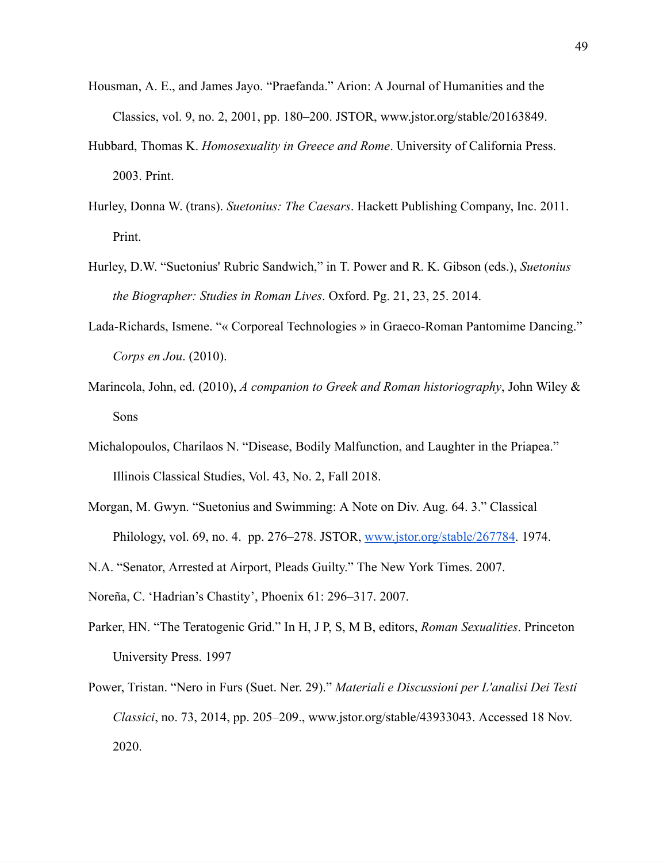- Housman, A. E., and James Jayo. "Praefanda." Arion: A Journal of Humanities and the Classics, vol. 9, no. 2, 2001, pp. 180–200. JSTOR, www.jstor.org/stable/20163849.
- Hubbard, Thomas K. *Homosexuality in Greece and Rome*. University of California Press. 2003. Print.
- Hurley, Donna W. (trans). *Suetonius: The Caesars*. Hackett Publishing Company, Inc. 2011. Print.
- Hurley, D.W. "Suetonius' Rubric Sandwich," in T. Power and R. K. Gibson (eds.), *Suetonius the Biographer: Studies in Roman Lives*. Oxford. Pg. 21, 23, 25. 2014.
- Lada-Richards, Ismene. "« Corporeal Technologies » in Graeco-Roman Pantomime Dancing." *Corps en Jou*. (2010).
- Marincola, John, ed. (2010), *A companion to Greek and Roman historiography*, John Wiley & Sons
- Michalopoulos, Charilaos N. "Disease, Bodily Malfunction, and Laughter in the Priapea." Illinois Classical Studies, Vol. 43, No. 2, Fall 2018.
- Morgan, M. Gwyn. "Suetonius and Swimming: A Note on Div. Aug. 64. 3." Classical Philology, vol. 69, no. 4. pp. 276–278. JSTOR, [www.jstor.org/stable/267784](http://www.jstor.org/stable/267784). 1974.
- N.A. "Senator, Arrested at Airport, Pleads Guilty." The New York Times. 2007.
- Noreña, C. 'Hadrian's Chastity', Phoenix 61: 296–317. 2007.
- Parker, HN. "The Teratogenic Grid." In H, J P, S, M B, editors, *Roman Sexualities*. Princeton University Press. 1997
- Power, Tristan. "Nero in Furs (Suet. Ner. 29)." *Materiali e Discussioni per L'analisi Dei Testi Classici*, no. 73, 2014, pp. 205–209., www.jstor.org/stable/43933043. Accessed 18 Nov. 2020.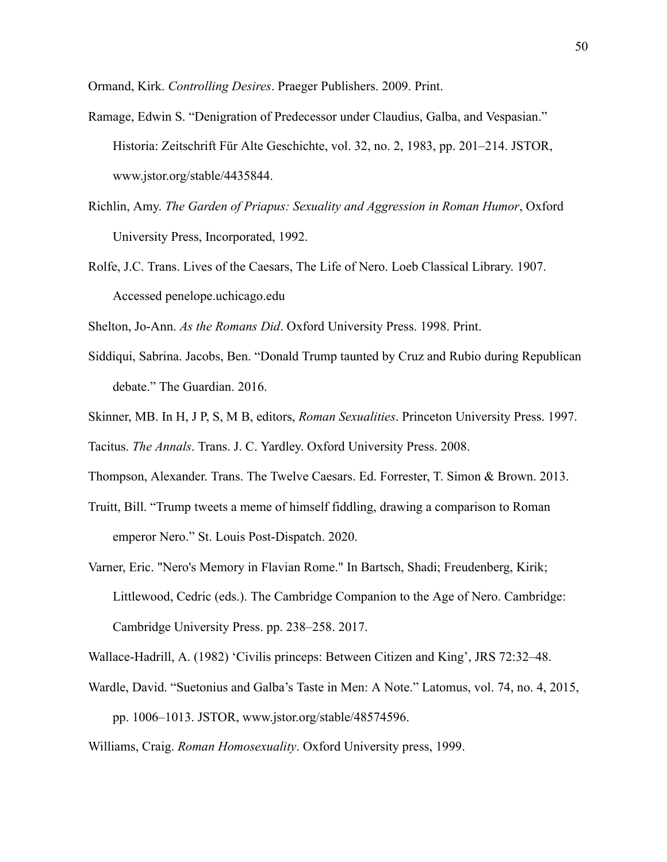Ormand, Kirk. *Controlling Desires*. Praeger Publishers. 2009. Print.

- Ramage, Edwin S. "Denigration of Predecessor under Claudius, Galba, and Vespasian." Historia: Zeitschrift Für Alte Geschichte, vol. 32, no. 2, 1983, pp. 201–214. JSTOR, www.jstor.org/stable/4435844.
- Richlin, Amy. *The Garden of Priapus: Sexuality and Aggression in Roman Humor*, Oxford University Press, Incorporated, 1992.
- Rolfe, J.C. Trans. Lives of the Caesars, The Life of Nero. Loeb Classical Library. 1907. Accessed penelope.uchicago.edu

Shelton, Jo-Ann. *As the Romans Did*. Oxford University Press. 1998. Print.

- Siddiqui, Sabrina. Jacobs, Ben. "Donald Trump taunted by Cruz and Rubio during Republican debate." The Guardian. 2016.
- Skinner, MB. In H, J P, S, M B, editors, *Roman Sexualities*. Princeton University Press. 1997.

Tacitus. *The Annals*. Trans. J. C. Yardley. Oxford University Press. 2008.

Thompson, Alexander. Trans. The Twelve Caesars. Ed. Forrester, T. Simon & Brown. 2013.

- Truitt, Bill. "Trump tweets a meme of himself fiddling, drawing a comparison to Roman emperor Nero." St. Louis Post-Dispatch. 2020.
- Varner, Eric. "Nero's Memory in Flavian Rome." In Bartsch, Shadi; Freudenberg, Kirik; Littlewood, Cedric (eds.). The Cambridge Companion to the Age of Nero. Cambridge: Cambridge University Press. pp. 238–258. 2017.

Wallace-Hadrill, A. (1982) 'Civilis princeps: Between Citizen and King', JRS 72:32–48.

Wardle, David. "Suetonius and Galba's Taste in Men: A Note." Latomus, vol. 74, no. 4, 2015, pp. 1006–1013. JSTOR, www.jstor.org/stable/48574596.

Williams, Craig. *Roman Homosexuality*. Oxford University press, 1999.